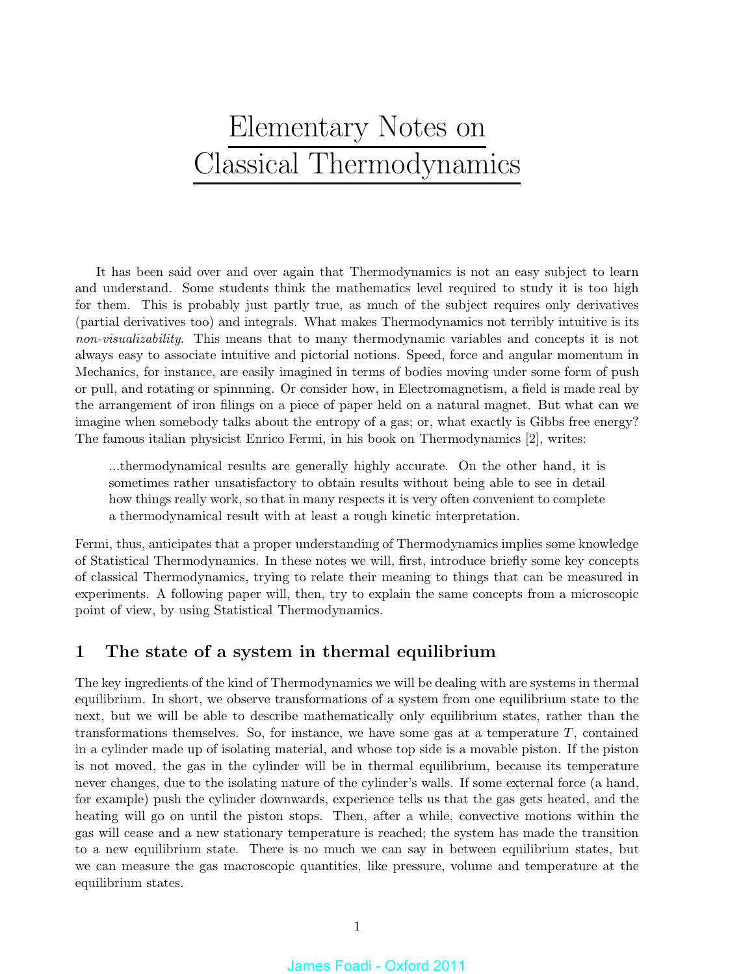# Elementary Notes on Classical Thermodynamics

It has been said over and over again that Thermodynamics is not an easy subject to learn and understand. Some students think the mathematics level required to study it is too high for them. This is probably just partly true, as much of the subject requires only derivatives (partial derivatives too) and integrals. What makes Thermodynamics not terribly intuitive is its non-visualizability. This means that to many thermodynamic variables and concepts it is not always easy to associate intuitive and pictorial notions. Speed, force and angular momentum in Mechanics, for instance, are easily imagined in terms of bodies moving under some form of push or pull, and rotating or spinnning. Or consider how, in Electromagnetism, a field is made real by the arrangement of iron filings on a piece of paper held on a natural magnet. But what can we imagine when somebody talks about the entropy of a gas; or, what exactly is Gibbs free energy? The famous italian physicist Enrico Fermi, in his book on Thermodynamics [2], writes:

...thermodynamical results are generally highly accurate. On the other hand, it is sometimes rather unsatisfactory to obtain results without being able to see in detail how things really work, so that in many respects it is very often convenient to complete a thermodynamical result with at least a rough kinetic interpretation.

Fermi, thus, anticipates that a proper understanding of Thermodynamics implies some knowledge of Statistical Thermodynamics. In these notes we will, first, introduce briefly some key concepts of classical Thermodynamics, trying to relate their meaning to things that can be measured in experiments. A following paper will, then, try to explain the same concepts from a microscopic point of view, by using Statistical Thermodynamics.

# 1 The state of a system in thermal equilibrium

The key ingredients of the kind of Thermodynamics we will be dealing with are systems in thermal equilibrium. In short, we observe transformations of a system from one equilibrium state to the next, but we will be able to describe mathematically only equilibrium states, rather than the transformations themselves. So, for instance, we have some gas at a temperature  $T$ , contained in a cylinder made up of isolating material, and whose top side is a movable piston. If the piston is not moved, the gas in the cylinder will be in thermal equilibrium, because its temperature never changes, due to the isolating nature of the cylinder's walls. If some external force (a hand, for example) push the cylinder downwards, experience tells us that the gas gets heated, and the heating will go on until the piston stops. Then, after a while, convective motions within the gas will cease and a new stationary temperature is reached; the system has made the transition to a new equilibrium state. There is no much we can say in between equilibrium states, but we can measure the gas macroscopic quantities, like pressure, volume and temperature at the equilibrium states.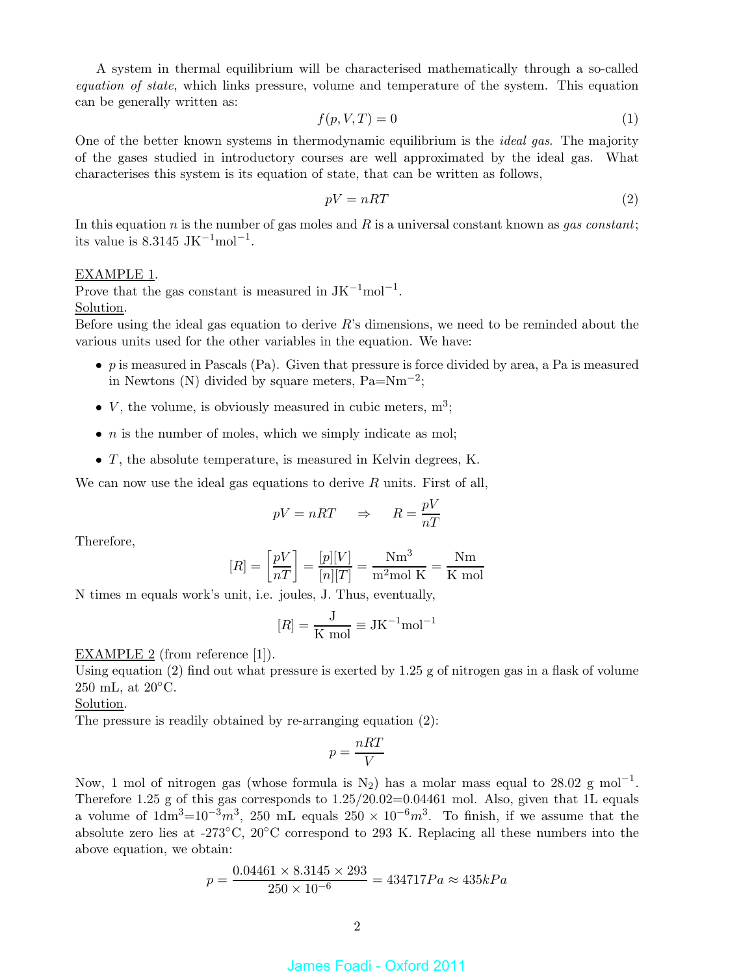A system in thermal equilibrium will be characterised mathematically through a so-called equation of state, which links pressure, volume and temperature of the system. This equation can be generally written as:

$$
f(p, V, T) = 0\tag{1}
$$

One of the better known systems in thermodynamic equilibrium is the *ideal gas*. The majority of the gases studied in introductory courses are well approximated by the ideal gas. What characterises this system is its equation of state, that can be written as follows,

$$
pV = nRT \tag{2}
$$

In this equation n is the number of gas moles and R is a universal constant known as *qas constant*; its value is 8.3145 JK<sup> $-1$ </sup>mol<sup> $-1$ </sup>.

### EXAMPLE 1.

Prove that the gas constant is measured in  $JK^{-1}mol^{-1}$ . Solution.

Before using the ideal gas equation to derive  $R$ 's dimensions, we need to be reminded about the various units used for the other variables in the equation. We have:

- p is measured in Pascals  $(Pa)$ . Given that pressure is force divided by area, a Pa is measured in Newtons (N) divided by square meters,  $Pa = Nm^{-2}$ ;
- $V$ , the volume, is obviously measured in cubic meters,  $m^3$ ;
- $\bullet$  *n* is the number of moles, which we simply indicate as mol;
- T, the absolute temperature, is measured in Kelvin degrees, K.

We can now use the ideal gas equations to derive  $R$  units. First of all,

$$
pV = nRT \quad \Rightarrow \quad R = \frac{pV}{nT}
$$

Therefore,

$$
[R] = \left[\frac{pV}{nT}\right] = \frac{[p][V]}{[n][T]} = \frac{\text{Nm}^3}{\text{m}^2 \text{mol K}} = \frac{\text{Nm}}{\text{K mol}}
$$

N times m equals work's unit, i.e. joules, J. Thus, eventually,

$$
[R] = \frac{J}{K \text{ mol}} \equiv JK^{-1} \text{mol}^{-1}
$$

### EXAMPLE 2 (from reference [1]).

Using equation (2) find out what pressure is exerted by 1.25 g of nitrogen gas in a flask of volume  $250$  mL, at  $20^{\circ}$ C.

Solution.

The pressure is readily obtained by re-arranging equation (2):

$$
p = \frac{nRT}{V}
$$

Now, 1 mol of nitrogen gas (whose formula is  $N_2$ ) has a molar mass equal to 28.02 g mol<sup>-1</sup>. Therefore 1.25 g of this gas corresponds to  $1.25/20.02=0.04461$  mol. Also, given that 1L equals a volume of  $1dm^3=10^{-3}m^3$ , 250 mL equals  $250 \times 10^{-6}m^3$ . To finish, if we assume that the absolute zero lies at -273◦C, 20◦C correspond to 293 K. Replacing all these numbers into the above equation, we obtain:

$$
p = \frac{0.04461 \times 8.3145 \times 293}{250 \times 10^{-6}} = 434717 Pa \approx 435 kPa
$$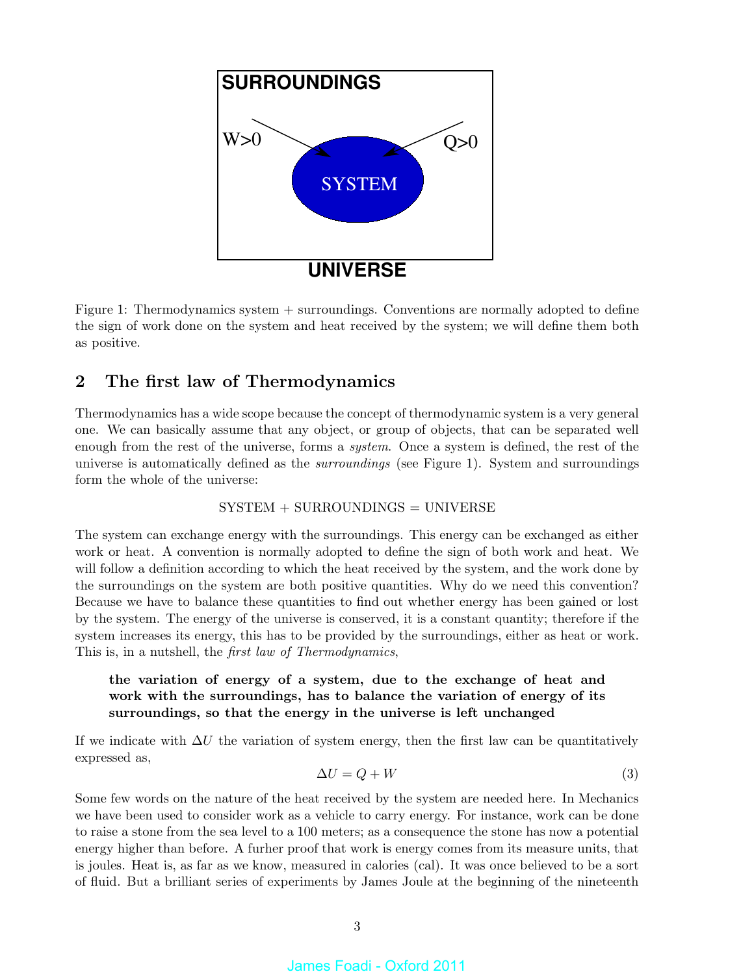

Figure 1: Thermodynamics system + surroundings. Conventions are normally adopted to define the sign of work done on the system and heat received by the system; we will define them both as positive.

# 2 The first law of Thermodynamics

Thermodynamics has a wide scope because the concept of thermodynamic system is a very general one. We can basically assume that any object, or group of objects, that can be separated well enough from the rest of the universe, forms a *system*. Once a system is defined, the rest of the universe is automatically defined as the *surroundings* (see Figure 1). System and surroundings form the whole of the universe:

### $SYSTEM + SURROUNDINGS = UNIVERSE$

The system can exchange energy with the surroundings. This energy can be exchanged as either work or heat. A convention is normally adopted to define the sign of both work and heat. We will follow a definition according to which the heat received by the system, and the work done by the surroundings on the system are both positive quantities. Why do we need this convention? Because we have to balance these quantities to find out whether energy has been gained or lost by the system. The energy of the universe is conserved, it is a constant quantity; therefore if the system increases its energy, this has to be provided by the surroundings, either as heat or work. This is, in a nutshell, the *first law of Thermodynamics*,

# the variation of energy of a system, due to the exchange of heat and work with the surroundings, has to balance the variation of energy of its surroundings, so that the energy in the universe is left unchanged

If we indicate with  $\Delta U$  the variation of system energy, then the first law can be quantitatively expressed as,

$$
\Delta U = Q + W \tag{3}
$$

Some few words on the nature of the heat received by the system are needed here. In Mechanics we have been used to consider work as a vehicle to carry energy. For instance, work can be done to raise a stone from the sea level to a 100 meters; as a consequence the stone has now a potential energy higher than before. A furher proof that work is energy comes from its measure units, that is joules. Heat is, as far as we know, measured in calories (cal). It was once believed to be a sort of fluid. But a brilliant series of experiments by James Joule at the beginning of the nineteenth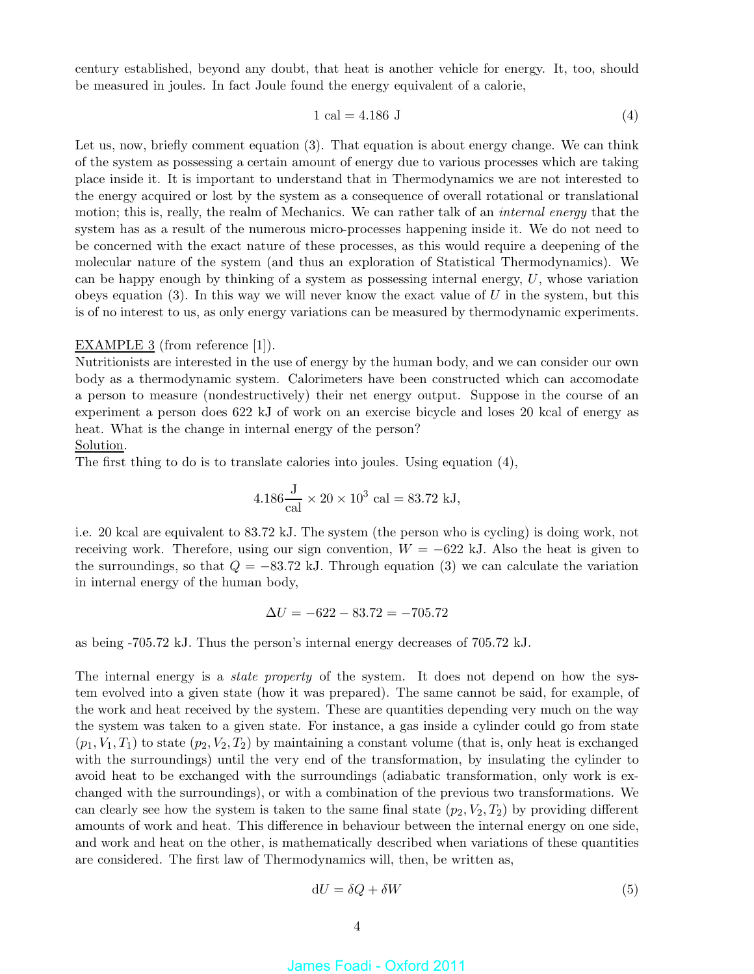century established, beyond any doubt, that heat is another vehicle for energy. It, too, should be measured in joules. In fact Joule found the energy equivalent of a calorie,

$$
1 \text{ cal} = 4.186 \text{ J} \tag{4}
$$

Let us, now, briefly comment equation (3). That equation is about energy change. We can think of the system as possessing a certain amount of energy due to various processes which are taking place inside it. It is important to understand that in Thermodynamics we are not interested to the energy acquired or lost by the system as a consequence of overall rotational or translational motion; this is, really, the realm of Mechanics. We can rather talk of an *internal energy* that the system has as a result of the numerous micro-processes happening inside it. We do not need to be concerned with the exact nature of these processes, as this would require a deepening of the molecular nature of the system (and thus an exploration of Statistical Thermodynamics). We can be happy enough by thinking of a system as possessing internal energy,  $U$ , whose variation obeys equation  $(3)$ . In this way we will never know the exact value of U in the system, but this is of no interest to us, as only energy variations can be measured by thermodynamic experiments.

### EXAMPLE 3 (from reference [1]).

Nutritionists are interested in the use of energy by the human body, and we can consider our own body as a thermodynamic system. Calorimeters have been constructed which can accomodate a person to measure (nondestructively) their net energy output. Suppose in the course of an experiment a person does 622 kJ of work on an exercise bicycle and loses 20 kcal of energy as heat. What is the change in internal energy of the person?

### Solution.

The first thing to do is to translate calories into joules. Using equation (4),

$$
4.186 \frac{\text{J}}{\text{cal}} \times 20 \times 10^3 \text{ cal} = 83.72 \text{ kJ},
$$

i.e. 20 kcal are equivalent to 83.72 kJ. The system (the person who is cycling) is doing work, not receiving work. Therefore, using our sign convention,  $W = -622$  kJ. Also the heat is given to the surroundings, so that  $Q = -83.72$  kJ. Through equation (3) we can calculate the variation in internal energy of the human body,

$$
\Delta U = -622 - 83.72 = -705.72
$$

as being -705.72 kJ. Thus the person's internal energy decreases of 705.72 kJ.

The internal energy is a *state property* of the system. It does not depend on how the system evolved into a given state (how it was prepared). The same cannot be said, for example, of the work and heat received by the system. These are quantities depending very much on the way the system was taken to a given state. For instance, a gas inside a cylinder could go from state  $(p_1, V_1, T_1)$  to state  $(p_2, V_2, T_2)$  by maintaining a constant volume (that is, only heat is exchanged with the surroundings) until the very end of the transformation, by insulating the cylinder to avoid heat to be exchanged with the surroundings (adiabatic transformation, only work is exchanged with the surroundings), or with a combination of the previous two transformations. We can clearly see how the system is taken to the same final state  $(p_2, V_2, T_2)$  by providing different amounts of work and heat. This difference in behaviour between the internal energy on one side, and work and heat on the other, is mathematically described when variations of these quantities are considered. The first law of Thermodynamics will, then, be written as,

$$
dU = \delta Q + \delta W \tag{5}
$$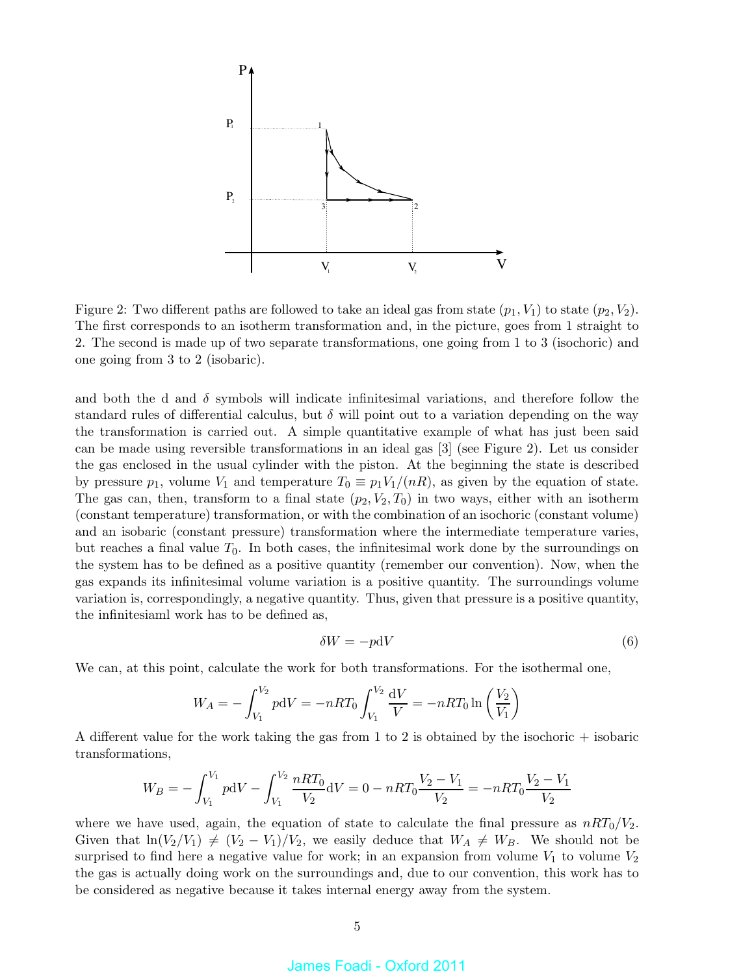

Figure 2: Two different paths are followed to take an ideal gas from state  $(p_1, V_1)$  to state  $(p_2, V_2)$ . The first corresponds to an isotherm transformation and, in the picture, goes from 1 straight to 2. The second is made up of two separate transformations, one going from 1 to 3 (isochoric) and one going from 3 to 2 (isobaric).

and both the d and  $\delta$  symbols will indicate infinitesimal variations, and therefore follow the standard rules of differential calculus, but  $\delta$  will point out to a variation depending on the way the transformation is carried out. A simple quantitative example of what has just been said can be made using reversible transformations in an ideal gas [3] (see Figure 2). Let us consider the gas enclosed in the usual cylinder with the piston. At the beginning the state is described by pressure  $p_1$ , volume  $V_1$  and temperature  $T_0 \equiv p_1 V_1/(nR)$ , as given by the equation of state. The gas can, then, transform to a final state  $(p_2, V_2, T_0)$  in two ways, either with an isotherm (constant temperature) transformation, or with the combination of an isochoric (constant volume) and an isobaric (constant pressure) transformation where the intermediate temperature varies, but reaches a final value  $T_0$ . In both cases, the infinitesimal work done by the surroundings on the system has to be defined as a positive quantity (remember our convention). Now, when the gas expands its infinitesimal volume variation is a positive quantity. The surroundings volume variation is, correspondingly, a negative quantity. Thus, given that pressure is a positive quantity, the infinitesiaml work has to be defined as,

$$
\delta W = -p \mathrm{d} V \tag{6}
$$

We can, at this point, calculate the work for both transformations. For the isothermal one,

$$
W_A = -\int_{V_1}^{V_2} p \mathrm{d}V = -nRT_0 \int_{V_1}^{V_2} \frac{\mathrm{d}V}{V} = -nRT_0 \ln\left(\frac{V_2}{V_1}\right)
$$

A different value for the work taking the gas from 1 to 2 is obtained by the isochoric + isobaric transformations,

$$
W_B = -\int_{V_1}^{V_1} p \mathrm{d}V - \int_{V_1}^{V_2} \frac{nRT_0}{V_2} \mathrm{d}V = 0 - nRT_0 \frac{V_2 - V_1}{V_2} = -nRT_0 \frac{V_2 - V_1}{V_2}
$$

where we have used, again, the equation of state to calculate the final pressure as  $nRT_0/V_2$ . Given that  $\ln(V_2/V_1) \neq (V_2 - V_1)/V_2$ , we easily deduce that  $W_A \neq W_B$ . We should not be surprised to find here a negative value for work; in an expansion from volume  $V_1$  to volume  $V_2$ the gas is actually doing work on the surroundings and, due to our convention, this work has to be considered as negative because it takes internal energy away from the system.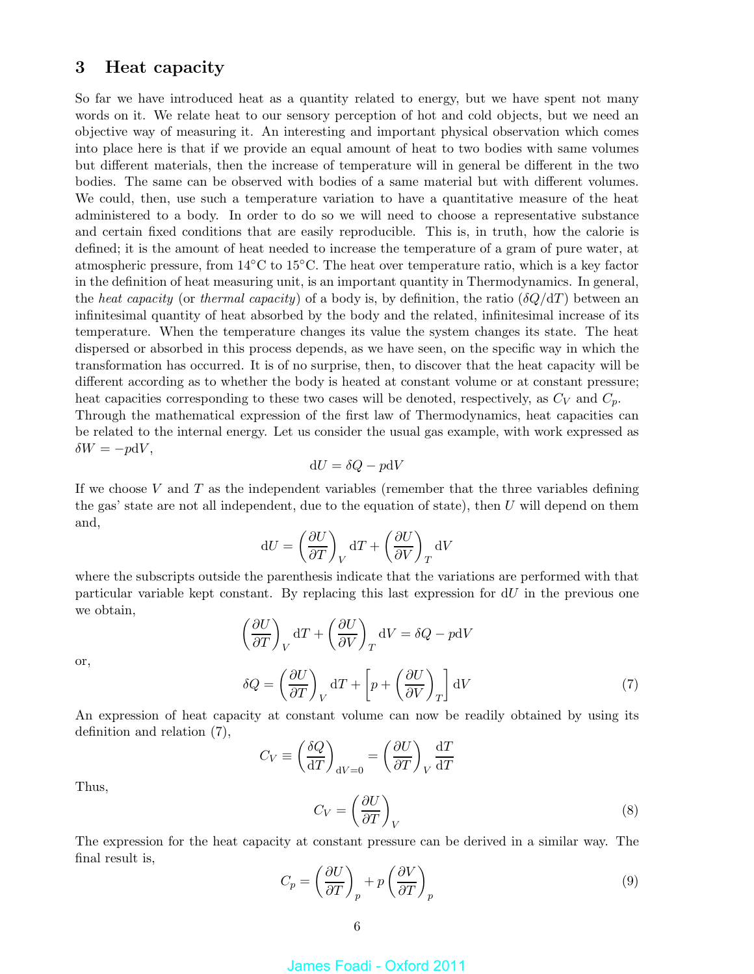# 3 Heat capacity

So far we have introduced heat as a quantity related to energy, but we have spent not many words on it. We relate heat to our sensory perception of hot and cold objects, but we need an objective way of measuring it. An interesting and important physical observation which comes into place here is that if we provide an equal amount of heat to two bodies with same volumes but different materials, then the increase of temperature will in general be different in the two bodies. The same can be observed with bodies of a same material but with different volumes. We could, then, use such a temperature variation to have a quantitative measure of the heat administered to a body. In order to do so we will need to choose a representative substance and certain fixed conditions that are easily reproducible. This is, in truth, how the calorie is defined; it is the amount of heat needed to increase the temperature of a gram of pure water, at atmospheric pressure, from 14◦C to 15◦C. The heat over temperature ratio, which is a key factor in the definition of heat measuring unit, is an important quantity in Thermodynamics. In general, the heat capacity (or thermal capacity) of a body is, by definition, the ratio  $(\delta Q/dT)$  between an infinitesimal quantity of heat absorbed by the body and the related, infinitesimal increase of its temperature. When the temperature changes its value the system changes its state. The heat dispersed or absorbed in this process depends, as we have seen, on the specific way in which the transformation has occurred. It is of no surprise, then, to discover that the heat capacity will be different according as to whether the body is heated at constant volume or at constant pressure; heat capacities corresponding to these two cases will be denoted, respectively, as  $C_V$  and  $C_p$ . Through the mathematical expression of the first law of Thermodynamics, heat capacities can be related to the internal energy. Let us consider the usual gas example, with work expressed as  $\delta W = -p dV,$ 

$$
dU = \delta Q - p dV
$$

If we choose V and T as the independent variables (remember that the three variables defining the gas' state are not all independent, due to the equation of state), then  $U$  will depend on them and,

$$
dU = \left(\frac{\partial U}{\partial T}\right)_V dT + \left(\frac{\partial U}{\partial V}\right)_T dV
$$

where the subscripts outside the parenthesis indicate that the variations are performed with that particular variable kept constant. By replacing this last expression for  $dU$  in the previous one we obtain,

$$
\left(\frac{\partial U}{\partial T}\right)_V dT + \left(\frac{\partial U}{\partial V}\right)_T dV = \delta Q - p dV
$$

$$
\delta Q = \left(\frac{\partial U}{\partial T}\right)_V dT + \left[p + \left(\frac{\partial U}{\partial V}\right)_T\right] dV \tag{7}
$$

or,

An expression of heat capacity at constant volume can now be readily obtained by using its definition and relation (7),

$$
C_V \equiv \left(\frac{\delta Q}{dT}\right)_{dV=0} = \left(\frac{\partial U}{\partial T}\right)_V \frac{dT}{dT}
$$

$$
C_V = \left(\frac{\partial U}{\partial T}\right)_V
$$
(8)

Thus,

The expression for the heat capacity at constant pressure can be derived in a similar way. The final result is,

$$
C_p = \left(\frac{\partial U}{\partial T}\right)_p + p\left(\frac{\partial V}{\partial T}\right)_p\tag{9}
$$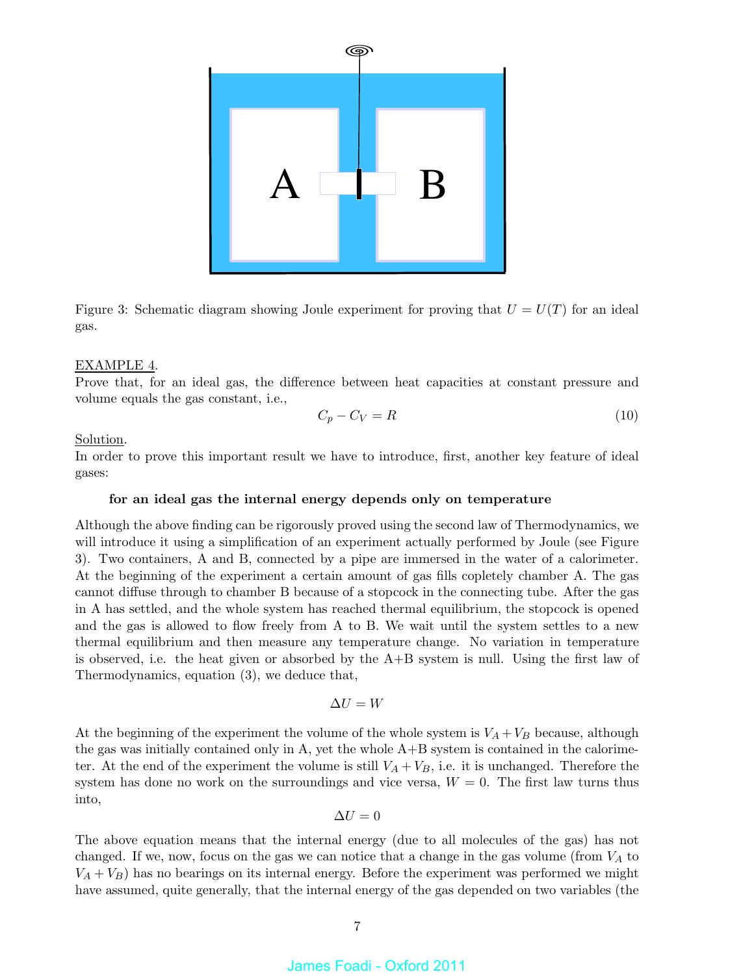

Figure 3: Schematic diagram showing Joule experiment for proving that  $U = U(T)$  for an ideal gas.

### EXAMPLE 4.

Prove that, for an ideal gas, the difference between heat capacities at constant pressure and volume equals the gas constant, i.e.,

$$
C_p - C_V = R \tag{10}
$$

Solution.

In order to prove this important result we have to introduce, first, another key feature of ideal gases:

### for an ideal gas the internal energy depends only on temperature

Although the above finding can be rigorously proved using the second law of Thermodynamics, we will introduce it using a simplification of an experiment actually performed by Joule (see Figure 3). Two containers, A and B, connected by a pipe are immersed in the water of a calorimeter. At the beginning of the experiment a certain amount of gas fills copletely chamber A. The gas cannot diffuse through to chamber B because of a stopcock in the connecting tube. After the gas in A has settled, and the whole system has reached thermal equilibrium, the stopcock is opened and the gas is allowed to flow freely from A to B. We wait until the system settles to a new thermal equilibrium and then measure any temperature change. No variation in temperature is observed, i.e. the heat given or absorbed by the A+B system is null. Using the first law of Thermodynamics, equation (3), we deduce that,

$$
\Delta U = W
$$

At the beginning of the experiment the volume of the whole system is  $V_A + V_B$  because, although the gas was initially contained only in A, yet the whole A+B system is contained in the calorimeter. At the end of the experiment the volume is still  $V_A + V_B$ , i.e. it is unchanged. Therefore the system has done no work on the surroundings and vice versa,  $W = 0$ . The first law turns thus into,

$$
\Delta U=0
$$

The above equation means that the internal energy (due to all molecules of the gas) has not changed. If we, now, focus on the gas we can notice that a change in the gas volume (from  $V_A$  to  $V_A + V_B$ ) has no bearings on its internal energy. Before the experiment was performed we might have assumed, quite generally, that the internal energy of the gas depended on two variables (the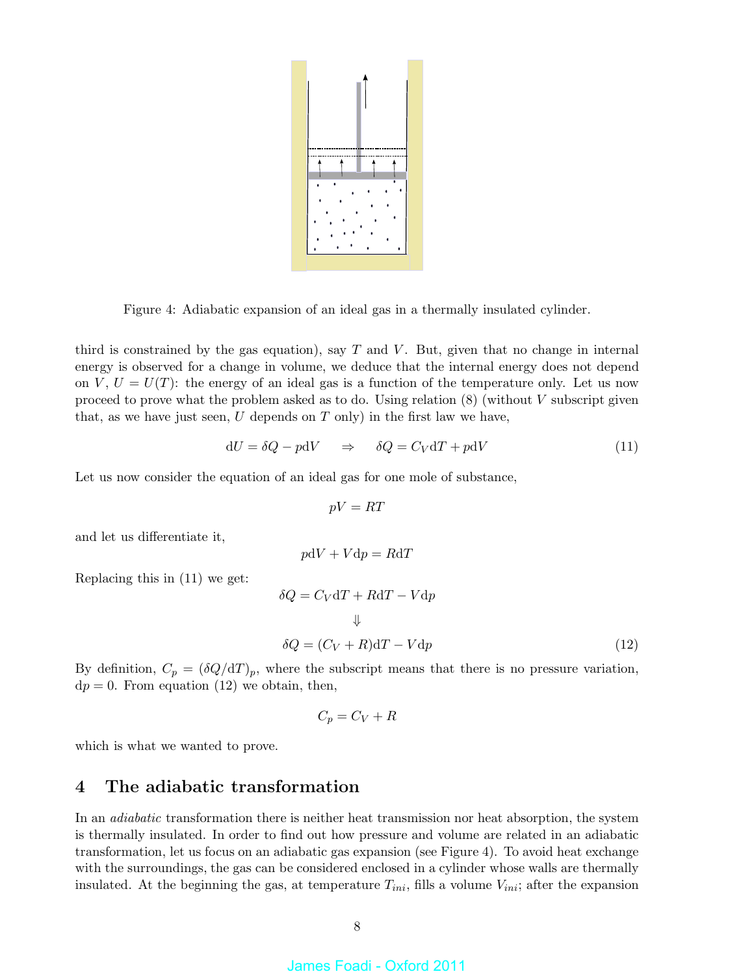

Figure 4: Adiabatic expansion of an ideal gas in a thermally insulated cylinder.

third is constrained by the gas equation), say  $T$  and  $V$ . But, given that no change in internal energy is observed for a change in volume, we deduce that the internal energy does not depend on  $V, U = U(T)$ : the energy of an ideal gas is a function of the temperature only. Let us now proceed to prove what the problem asked as to do. Using relation  $(8)$  (without V subscript given that, as we have just seen,  $U$  depends on  $T$  only) in the first law we have,

$$
dU = \delta Q - p dV \quad \Rightarrow \quad \delta Q = C_V dT + p dV \tag{11}
$$

Let us now consider the equation of an ideal gas for one mole of substance,

$$
pV = RT
$$

and let us differentiate it,

$$
p\mathrm{d}V + V\mathrm{d}p = R\mathrm{d}T
$$

Replacing this in (11) we get:

$$
\delta Q = C_V dT + RdT - Vdp
$$
  

$$
\downarrow
$$
  

$$
\delta Q = (C_V + R)dT - Vdp
$$
 (12)

By definition,  $C_p = (\delta Q/dT)_p$ , where the subscript means that there is no pressure variation,  $dp = 0$ . From equation (12) we obtain, then,

$$
C_p = C_V + R
$$

which is what we wanted to prove.

# 4 The adiabatic transformation

In an *adiabatic* transformation there is neither heat transmission nor heat absorption, the system is thermally insulated. In order to find out how pressure and volume are related in an adiabatic transformation, let us focus on an adiabatic gas expansion (see Figure 4). To avoid heat exchange with the surroundings, the gas can be considered enclosed in a cylinder whose walls are thermally insulated. At the beginning the gas, at temperature  $T_{ini}$ , fills a volume  $V_{ini}$ ; after the expansion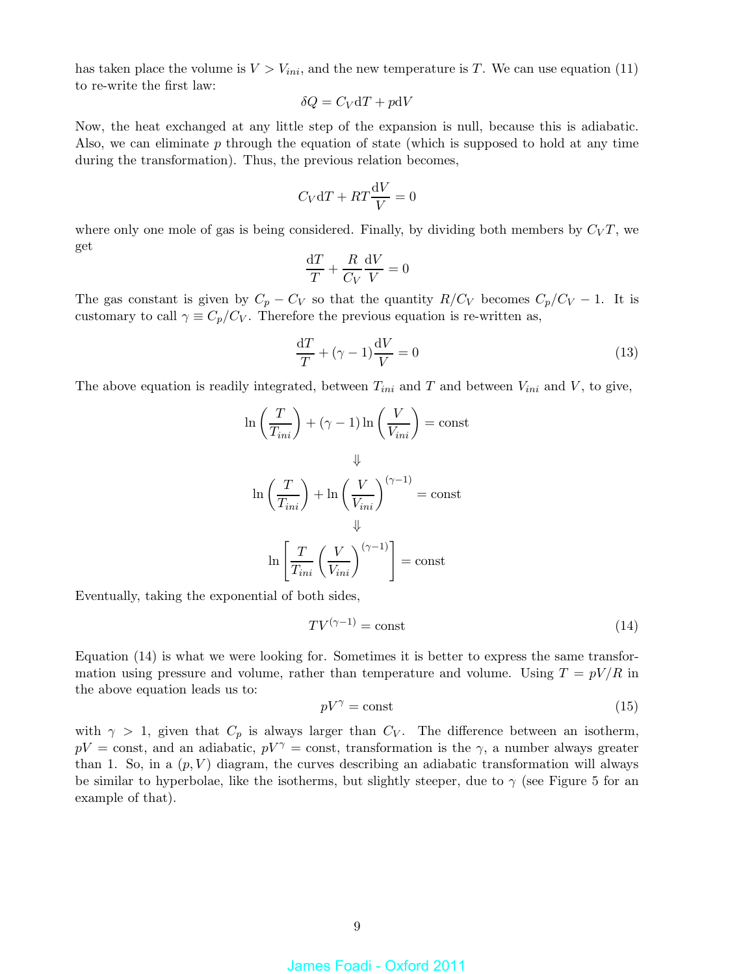has taken place the volume is  $V > V_{ini}$ , and the new temperature is T. We can use equation (11) to re-write the first law:

$$
\delta Q = C_V \mathrm{d} T + p \mathrm{d} V
$$

Now, the heat exchanged at any little step of the expansion is null, because this is adiabatic. Also, we can eliminate  $p$  through the equation of state (which is supposed to hold at any time during the transformation). Thus, the previous relation becomes,

$$
C_V \mathrm{d}T + RT\frac{\mathrm{d}V}{V} = 0
$$

where only one mole of gas is being considered. Finally, by dividing both members by  $C_VT$ , we get

$$
\frac{\mathrm{d}T}{T} + \frac{R}{C_V} \frac{\mathrm{d}V}{V} = 0
$$

The gas constant is given by  $C_p - C_V$  so that the quantity  $R/C_V$  becomes  $C_p/C_V - 1$ . It is customary to call  $\gamma \equiv C_p/C_V$ . Therefore the previous equation is re-written as,

$$
\frac{\mathrm{d}T}{T} + (\gamma - 1)\frac{\mathrm{d}V}{V} = 0\tag{13}
$$

The above equation is readily integrated, between  $T_{ini}$  and T and between  $V_{ini}$  and V, to give,

$$
\ln\left(\frac{T}{T_{ini}}\right) + (\gamma - 1)\ln\left(\frac{V}{V_{ini}}\right) = \text{const}
$$

$$
\Downarrow
$$

$$
\ln\left(\frac{T}{T_{ini}}\right) + \ln\left(\frac{V}{V_{ini}}\right)^{(\gamma - 1)} = \text{const}
$$

$$
\Downarrow
$$

$$
\ln\left[\frac{T}{T_{ini}}\left(\frac{V}{V_{ini}}\right)^{(\gamma - 1)}\right] = \text{const}
$$

Eventually, taking the exponential of both sides,

$$
TV^{(\gamma - 1)} = \text{const} \tag{14}
$$

Equation (14) is what we were looking for. Sometimes it is better to express the same transformation using pressure and volume, rather than temperature and volume. Using  $T = pV/R$  in the above equation leads us to:

$$
pV^{\gamma} = \text{const} \tag{15}
$$

with  $\gamma > 1$ , given that  $C_p$  is always larger than  $C_V$ . The difference between an isotherm,  $pV = \text{const}$ , and an adiabatic,  $pV^{\gamma} = \text{const}$ , transformation is the  $\gamma$ , a number always greater than 1. So, in a  $(p, V)$  diagram, the curves describing an adiabatic transformation will always be similar to hyperbolae, like the isotherms, but slightly steeper, due to  $\gamma$  (see Figure 5 for an example of that).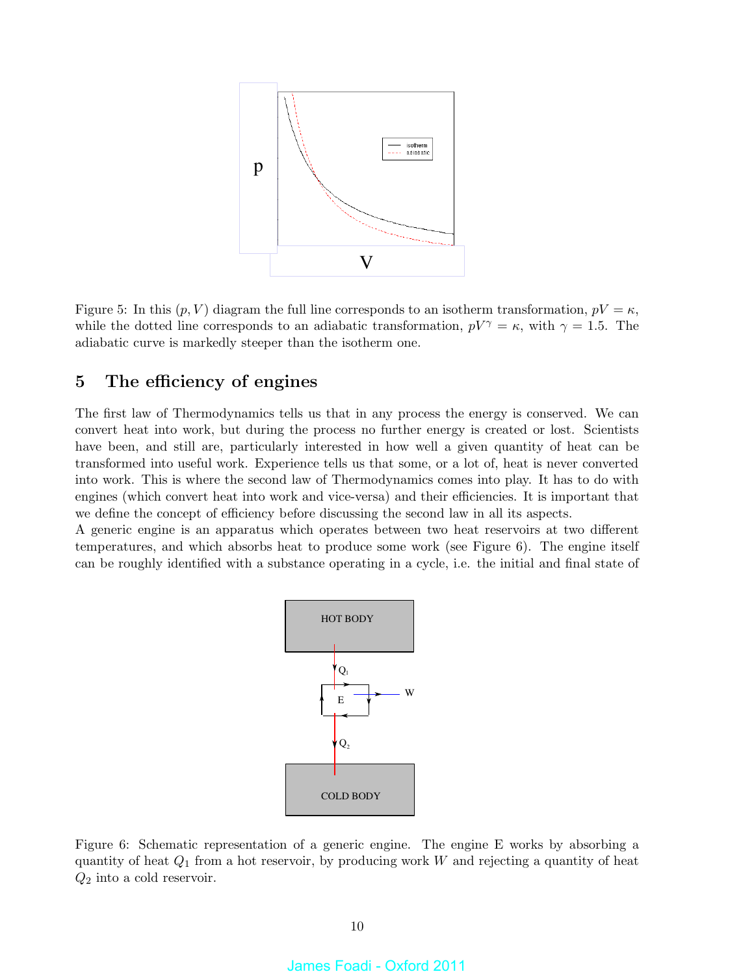

Figure 5: In this  $(p, V)$  diagram the full line corresponds to an isotherm transformation,  $pV = \kappa$ , while the dotted line corresponds to an adiabatic transformation,  $pV^{\gamma} = \kappa$ , with  $\gamma = 1.5$ . The adiabatic curve is markedly steeper than the isotherm one.

# 5 The efficiency of engines

The first law of Thermodynamics tells us that in any process the energy is conserved. We can convert heat into work, but during the process no further energy is created or lost. Scientists have been, and still are, particularly interested in how well a given quantity of heat can be transformed into useful work. Experience tells us that some, or a lot of, heat is never converted into work. This is where the second law of Thermodynamics comes into play. It has to do with engines (which convert heat into work and vice-versa) and their efficiencies. It is important that we define the concept of efficiency before discussing the second law in all its aspects.

A generic engine is an apparatus which operates between two heat reservoirs at two different temperatures, and which absorbs heat to produce some work (see Figure 6). The engine itself can be roughly identified with a substance operating in a cycle, i.e. the initial and final state of



Figure 6: Schematic representation of a generic engine. The engine E works by absorbing a quantity of heat  $Q_1$  from a hot reservoir, by producing work W and rejecting a quantity of heat  $Q_2$  into a cold reservoir.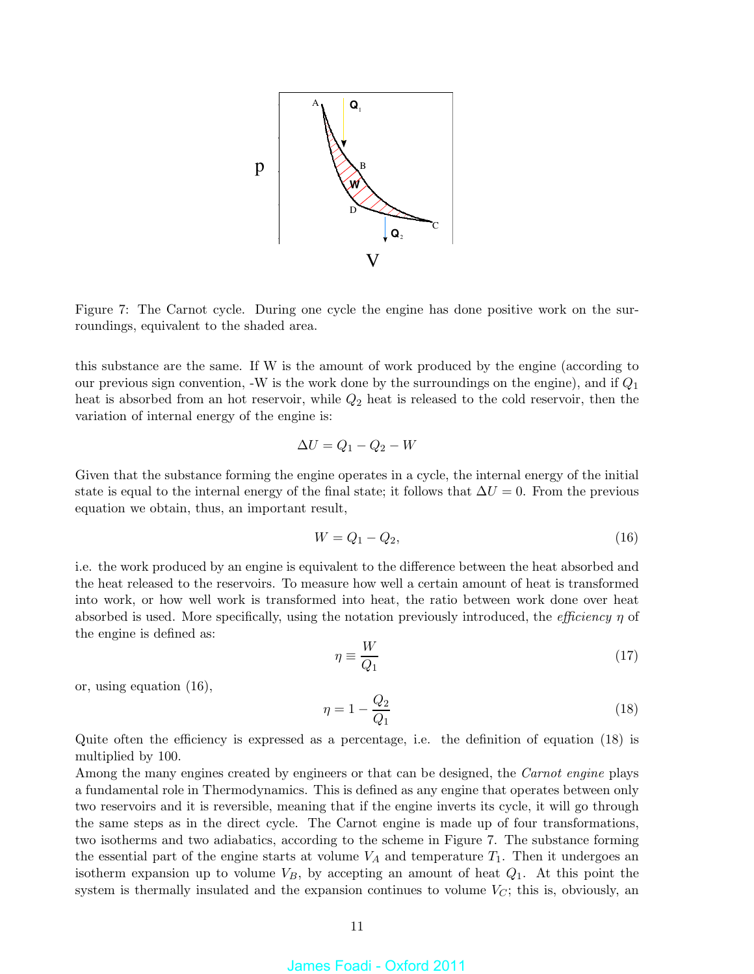

Figure 7: The Carnot cycle. During one cycle the engine has done positive work on the surroundings, equivalent to the shaded area.

this substance are the same. If W is the amount of work produced by the engine (according to our previous sign convention,  $-W$  is the work done by the surroundings on the engine), and if  $Q_1$ heat is absorbed from an hot reservoir, while  $Q_2$  heat is released to the cold reservoir, then the variation of internal energy of the engine is:

$$
\Delta U = Q_1 - Q_2 - W
$$

Given that the substance forming the engine operates in a cycle, the internal energy of the initial state is equal to the internal energy of the final state; it follows that  $\Delta U = 0$ . From the previous equation we obtain, thus, an important result,

$$
W = Q_1 - Q_2,\tag{16}
$$

i.e. the work produced by an engine is equivalent to the difference between the heat absorbed and the heat released to the reservoirs. To measure how well a certain amount of heat is transformed into work, or how well work is transformed into heat, the ratio between work done over heat absorbed is used. More specifically, using the notation previously introduced, the *efficiency*  $\eta$  of the engine is defined as:

$$
\eta \equiv \frac{W}{Q_1} \tag{17}
$$

or, using equation (16),

$$
\eta = 1 - \frac{Q_2}{Q_1} \tag{18}
$$

Quite often the efficiency is expressed as a percentage, i.e. the definition of equation (18) is multiplied by 100.

Among the many engines created by engineers or that can be designed, the *Carnot engine* plays a fundamental role in Thermodynamics. This is defined as any engine that operates between only two reservoirs and it is reversible, meaning that if the engine inverts its cycle, it will go through the same steps as in the direct cycle. The Carnot engine is made up of four transformations, two isotherms and two adiabatics, according to the scheme in Figure 7. The substance forming the essential part of the engine starts at volume  $V_A$  and temperature  $T_1$ . Then it undergoes an isotherm expansion up to volume  $V_B$ , by accepting an amount of heat  $Q_1$ . At this point the system is thermally insulated and the expansion continues to volume  $V_C$ ; this is, obviously, an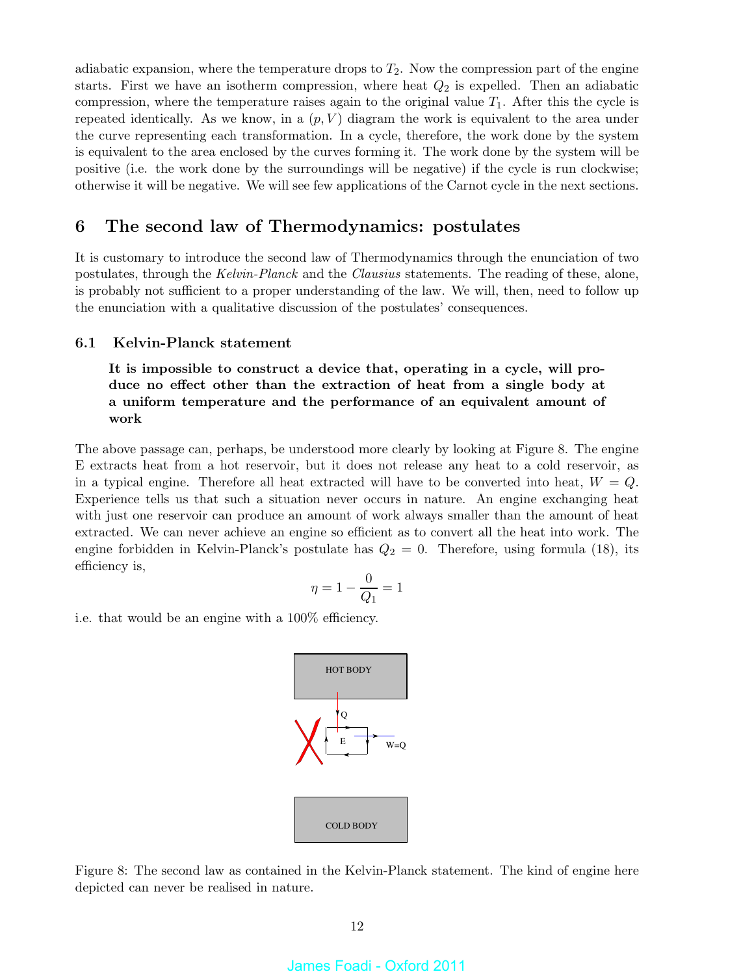adiabatic expansion, where the temperature drops to  $T_2$ . Now the compression part of the engine starts. First we have an isotherm compression, where heat  $Q_2$  is expelled. Then an adiabatic compression, where the temperature raises again to the original value  $T_1$ . After this the cycle is repeated identically. As we know, in a  $(p, V)$  diagram the work is equivalent to the area under the curve representing each transformation. In a cycle, therefore, the work done by the system is equivalent to the area enclosed by the curves forming it. The work done by the system will be positive (i.e. the work done by the surroundings will be negative) if the cycle is run clockwise; otherwise it will be negative. We will see few applications of the Carnot cycle in the next sections.

# 6 The second law of Thermodynamics: postulates

It is customary to introduce the second law of Thermodynamics through the enunciation of two postulates, through the Kelvin-Planck and the Clausius statements. The reading of these, alone, is probably not sufficient to a proper understanding of the law. We will, then, need to follow up the enunciation with a qualitative discussion of the postulates' consequences.

### 6.1 Kelvin-Planck statement

It is impossible to construct a device that, operating in a cycle, will produce no effect other than the extraction of heat from a single body at a uniform temperature and the performance of an equivalent amount of work

The above passage can, perhaps, be understood more clearly by looking at Figure 8. The engine E extracts heat from a hot reservoir, but it does not release any heat to a cold reservoir, as in a typical engine. Therefore all heat extracted will have to be converted into heat,  $W = Q$ . Experience tells us that such a situation never occurs in nature. An engine exchanging heat with just one reservoir can produce an amount of work always smaller than the amount of heat extracted. We can never achieve an engine so efficient as to convert all the heat into work. The engine forbidden in Kelvin-Planck's postulate has  $Q_2 = 0$ . Therefore, using formula (18), its efficiency is,

$$
\eta = 1 - \frac{0}{Q_1} = 1
$$

i.e. that would be an engine with a 100% efficiency.



Figure 8: The second law as contained in the Kelvin-Planck statement. The kind of engine here depicted can never be realised in nature.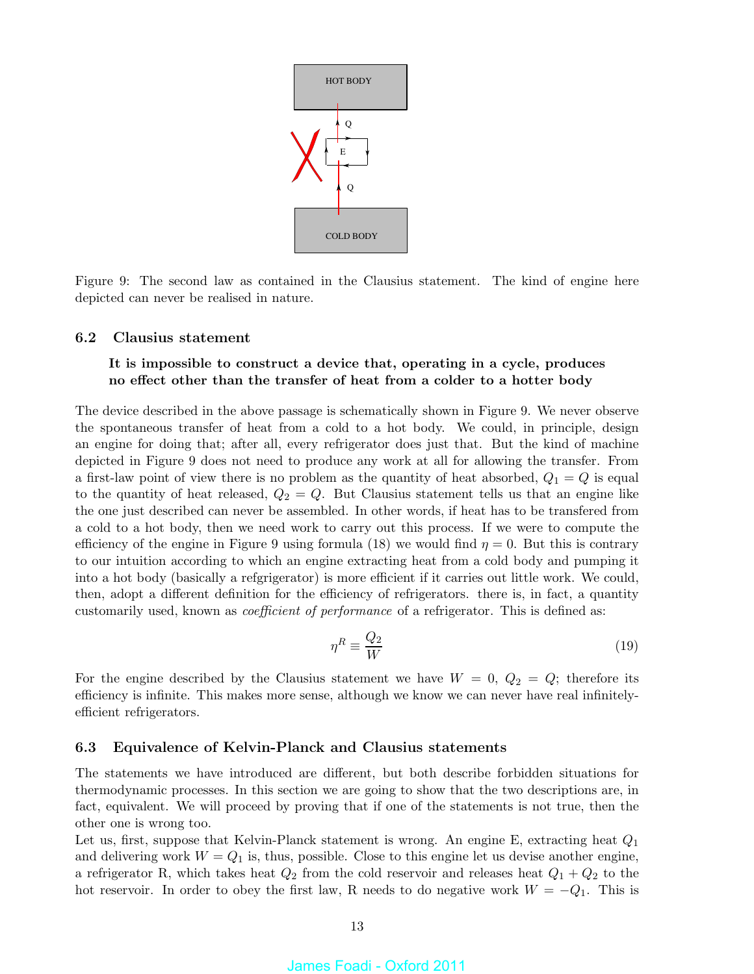

Figure 9: The second law as contained in the Clausius statement. The kind of engine here depicted can never be realised in nature.

### 6.2 Clausius statement

### It is impossible to construct a device that, operating in a cycle, produces no effect other than the transfer of heat from a colder to a hotter body

The device described in the above passage is schematically shown in Figure 9. We never observe the spontaneous transfer of heat from a cold to a hot body. We could, in principle, design an engine for doing that; after all, every refrigerator does just that. But the kind of machine depicted in Figure 9 does not need to produce any work at all for allowing the transfer. From a first-law point of view there is no problem as the quantity of heat absorbed,  $Q_1 = Q$  is equal to the quantity of heat released,  $Q_2 = Q$ . But Clausius statement tells us that an engine like the one just described can never be assembled. In other words, if heat has to be transfered from a cold to a hot body, then we need work to carry out this process. If we were to compute the efficiency of the engine in Figure 9 using formula (18) we would find  $\eta = 0$ . But this is contrary to our intuition according to which an engine extracting heat from a cold body and pumping it into a hot body (basically a refgrigerator) is more efficient if it carries out little work. We could, then, adopt a different definition for the efficiency of refrigerators. there is, in fact, a quantity customarily used, known as coefficient of performance of a refrigerator. This is defined as:

$$
\eta^R \equiv \frac{Q_2}{W} \tag{19}
$$

For the engine described by the Clausius statement we have  $W = 0, Q_2 = Q$ ; therefore its efficiency is infinite. This makes more sense, although we know we can never have real infinitelyefficient refrigerators.

### 6.3 Equivalence of Kelvin-Planck and Clausius statements

The statements we have introduced are different, but both describe forbidden situations for thermodynamic processes. In this section we are going to show that the two descriptions are, in fact, equivalent. We will proceed by proving that if one of the statements is not true, then the other one is wrong too.

Let us, first, suppose that Kelvin-Planck statement is wrong. An engine E, extracting heat  $Q_1$ and delivering work  $W = Q_1$  is, thus, possible. Close to this engine let us devise another engine, a refrigerator R, which takes heat  $Q_2$  from the cold reservoir and releases heat  $Q_1 + Q_2$  to the hot reservoir. In order to obey the first law, R needs to do negative work  $W = -Q_1$ . This is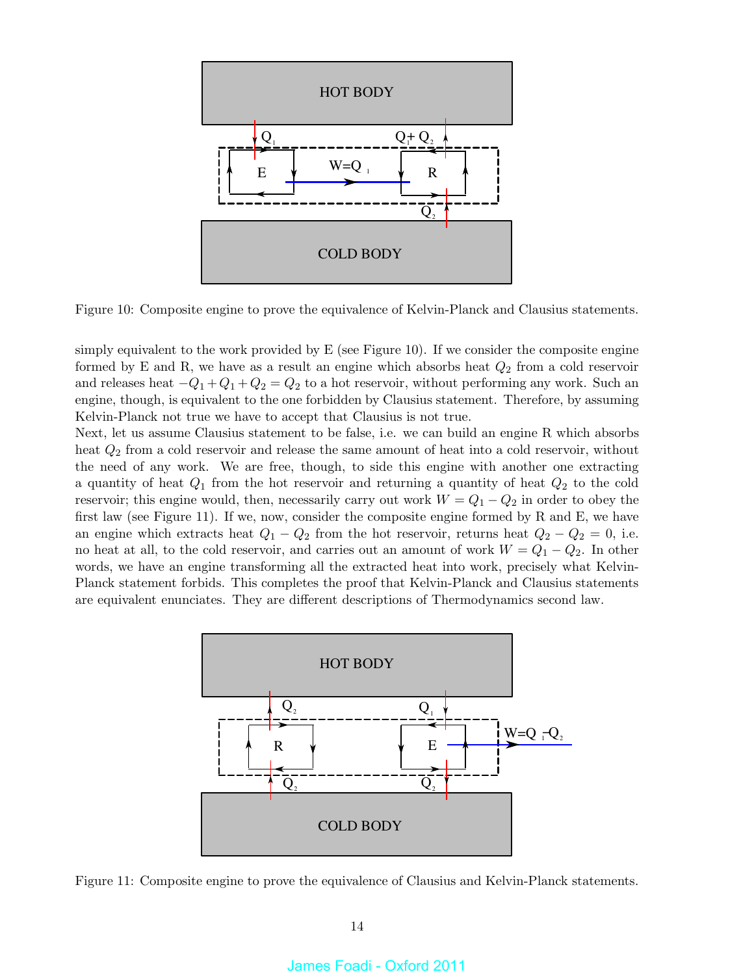

Figure 10: Composite engine to prove the equivalence of Kelvin-Planck and Clausius statements.

simply equivalent to the work provided by  $E$  (see Figure 10). If we consider the composite engine formed by E and R, we have as a result an engine which absorbs heat  $Q_2$  from a cold reservoir and releases heat  $-Q_1+Q_1+Q_2=Q_2$  to a hot reservoir, without performing any work. Such an engine, though, is equivalent to the one forbidden by Clausius statement. Therefore, by assuming Kelvin-Planck not true we have to accept that Clausius is not true.

Next, let us assume Clausius statement to be false, i.e. we can build an engine R which absorbs heat  $Q_2$  from a cold reservoir and release the same amount of heat into a cold reservoir, without the need of any work. We are free, though, to side this engine with another one extracting a quantity of heat  $Q_1$  from the hot reservoir and returning a quantity of heat  $Q_2$  to the cold reservoir; this engine would, then, necessarily carry out work  $W = Q_1 - Q_2$  in order to obey the first law (see Figure 11). If we, now, consider the composite engine formed by R and E, we have an engine which extracts heat  $Q_1 - Q_2$  from the hot reservoir, returns heat  $Q_2 - Q_2 = 0$ , i.e. no heat at all, to the cold reservoir, and carries out an amount of work  $W = Q_1 - Q_2$ . In other words, we have an engine transforming all the extracted heat into work, precisely what Kelvin-Planck statement forbids. This completes the proof that Kelvin-Planck and Clausius statements are equivalent enunciates. They are different descriptions of Thermodynamics second law.



Figure 11: Composite engine to prove the equivalence of Clausius and Kelvin-Planck statements.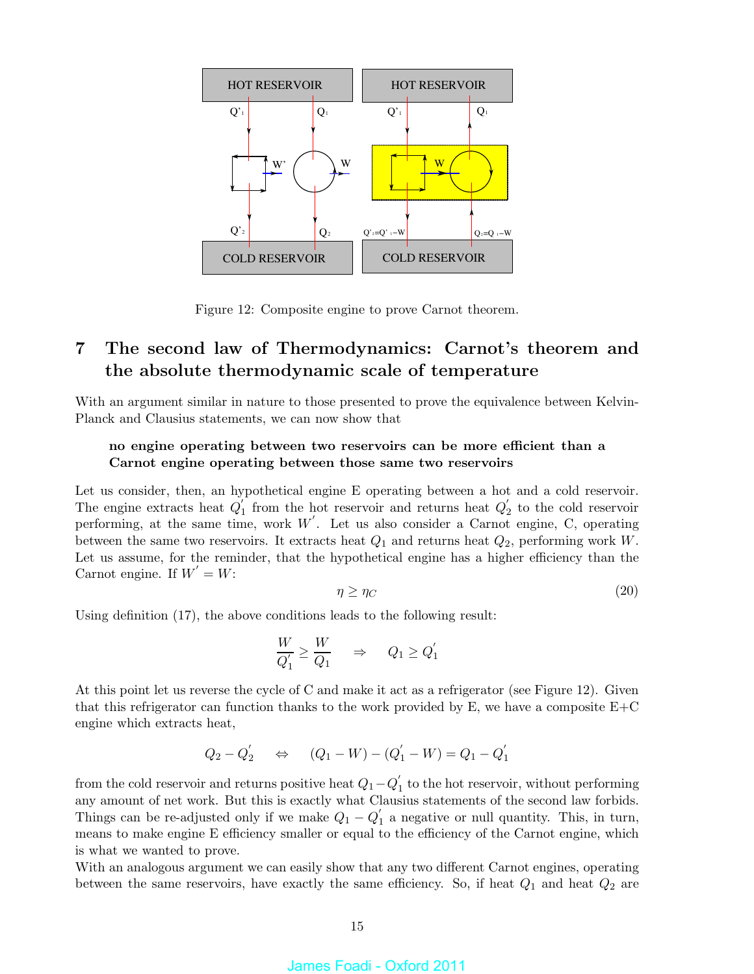

Figure 12: Composite engine to prove Carnot theorem.

# 7 The second law of Thermodynamics: Carnot's theorem and the absolute thermodynamic scale of temperature

With an argument similar in nature to those presented to prove the equivalence between Kelvin-Planck and Clausius statements, we can now show that

### no engine operating between two reservoirs can be more efficient than a Carnot engine operating between those same two reservoirs

Let us consider, then, an hypothetical engine E operating between a hot and a cold reservoir. The engine extracts heat  $Q_1'$  $\frac{1}{1}$  from the hot reservoir and returns heat  $Q'_2$  $\frac{1}{2}$  to the cold reservoir performing, at the same time, work  $W'$ . Let us also consider a Carnot engine, C, operating between the same two reservoirs. It extracts heat  $Q_1$  and returns heat  $Q_2$ , performing work W. Let us assume, for the reminder, that the hypothetical engine has a higher efficiency than the Carnot engine. If  $W' = W$ :

$$
\eta \ge \eta_C \tag{20}
$$

Using definition (17), the above conditions leads to the following result:

$$
\frac{W}{Q_1'} \ge \frac{W}{Q_1} \quad \Rightarrow \quad Q_1 \ge Q_1'
$$

At this point let us reverse the cycle of C and make it act as a refrigerator (see Figure 12). Given that this refrigerator can function thanks to the work provided by  $E$ , we have a composite  $E+C$ engine which extracts heat,

$$
Q_2 - Q_2' \quad \Leftrightarrow \quad (Q_1 - W) - (Q_1' - W) = Q_1 - Q_1'
$$

from the cold reservoir and returns positive heat  $Q_1 - Q'_1$  $\frac{1}{1}$  to the hot reservoir, without performing any amount of net work. But this is exactly what Clausius statements of the second law forbids. Things can be re-adjusted only if we make  $Q_1 - Q_1'$  $\frac{1}{1}$  a negative or null quantity. This, in turn, means to make engine E efficiency smaller or equal to the efficiency of the Carnot engine, which is what we wanted to prove.

With an analogous argument we can easily show that any two different Carnot engines, operating between the same reservoirs, have exactly the same efficiency. So, if heat  $Q_1$  and heat  $Q_2$  are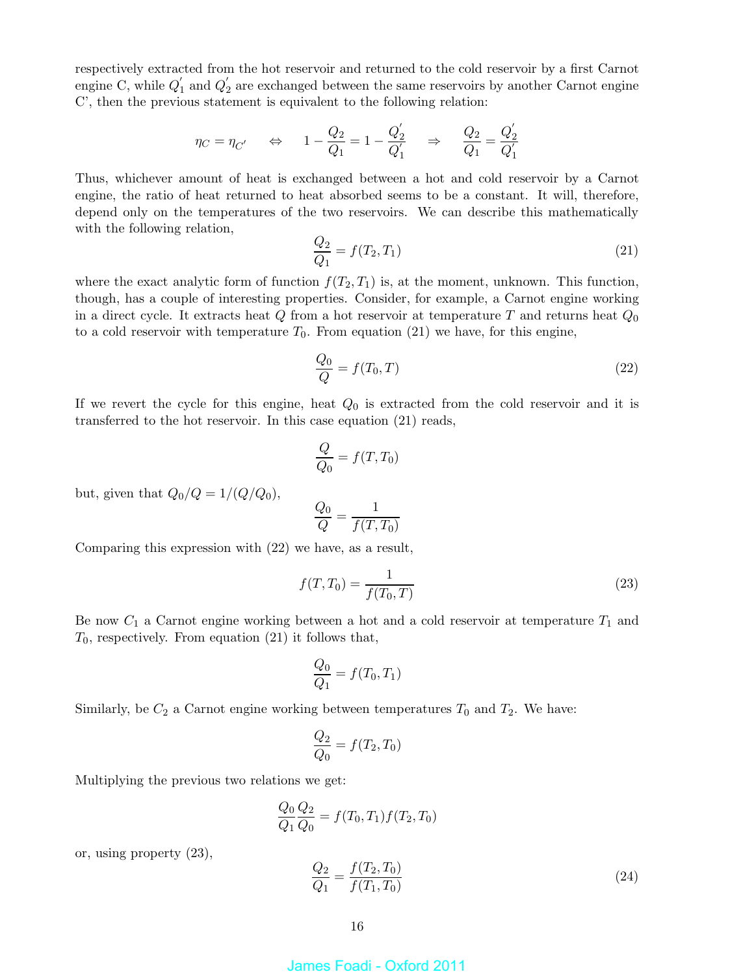respectively extracted from the hot reservoir and returned to the cold reservoir by a first Carnot engine C, while  $Q'_1$  $'_{1}$  and  $Q'_{2}$  $\alpha_2$  are exchanged between the same reservoirs by another Carnot engine C', then the previous statement is equivalent to the following relation:

$$
\eta_C = \eta_{C'} \qquad \Leftrightarrow \qquad 1 - \frac{Q_2}{Q_1} = 1 - \frac{Q_2'}{Q_1'} \qquad \Rightarrow \qquad \frac{Q_2}{Q_1} = \frac{Q_2'}{Q_1'}
$$

Thus, whichever amount of heat is exchanged between a hot and cold reservoir by a Carnot engine, the ratio of heat returned to heat absorbed seems to be a constant. It will, therefore, depend only on the temperatures of the two reservoirs. We can describe this mathematically with the following relation,

$$
\frac{Q_2}{Q_1} = f(T_2, T_1) \tag{21}
$$

where the exact analytic form of function  $f(T_2, T_1)$  is, at the moment, unknown. This function, though, has a couple of interesting properties. Consider, for example, a Carnot engine working in a direct cycle. It extracts heat  $Q$  from a hot reservoir at temperature  $T$  and returns heat  $Q_0$ to a cold reservoir with temperature  $T_0$ . From equation (21) we have, for this engine,

$$
\frac{Q_0}{Q} = f(T_0, T) \tag{22}
$$

If we revert the cycle for this engine, heat  $Q_0$  is extracted from the cold reservoir and it is transferred to the hot reservoir. In this case equation (21) reads,

$$
\frac{Q}{Q_0} = f(T, T_0)
$$

but, given that  $Q_0/Q = 1/(Q/Q_0)$ ,

$$
\frac{Q_0}{Q} = \frac{1}{f(T, T_0)}
$$

Comparing this expression with (22) we have, as a result,

$$
f(T, T_0) = \frac{1}{f(T_0, T)}
$$
\n(23)

Be now  $C_1$  a Carnot engine working between a hot and a cold reservoir at temperature  $T_1$  and  $T_0$ , respectively. From equation (21) it follows that,

$$
\frac{Q_0}{Q_1} = f(T_0, T_1)
$$

Similarly, be  $C_2$  a Carnot engine working between temperatures  $T_0$  and  $T_2$ . We have:

$$
\frac{Q_2}{Q_0} = f(T_2, T_0)
$$

Multiplying the previous two relations we get:

$$
\frac{Q_0}{Q_1} \frac{Q_2}{Q_0} = f(T_0, T_1) f(T_2, T_0)
$$

$$
\frac{Q_2}{Q_1} = \frac{f(T_2, T_0)}{f(T_1, T_0)}
$$
(24)

or, using property (23),

16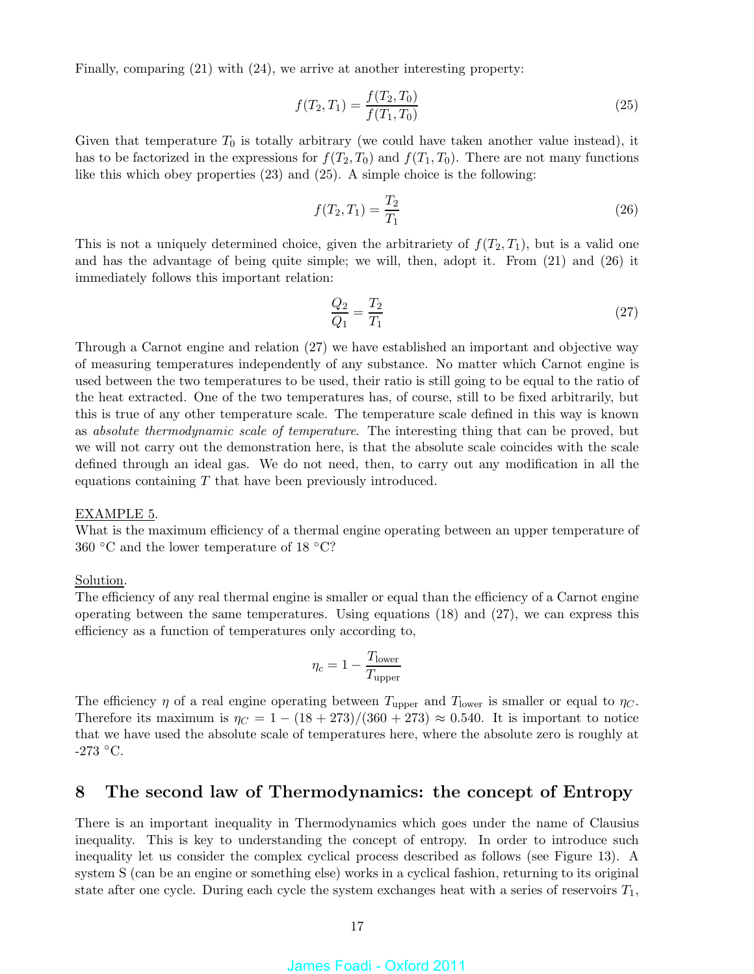Finally, comparing (21) with (24), we arrive at another interesting property:

$$
f(T_2, T_1) = \frac{f(T_2, T_0)}{f(T_1, T_0)}
$$
\n(25)

Given that temperature  $T_0$  is totally arbitrary (we could have taken another value instead), it has to be factorized in the expressions for  $f(T_2, T_0)$  and  $f(T_1, T_0)$ . There are not many functions like this which obey properties (23) and (25). A simple choice is the following:

$$
f(T_2, T_1) = \frac{T_2}{T_1} \tag{26}
$$

This is not a uniquely determined choice, given the arbitrariety of  $f(T_2, T_1)$ , but is a valid one and has the advantage of being quite simple; we will, then, adopt it. From (21) and (26) it immediately follows this important relation:

$$
\frac{Q_2}{Q_1} = \frac{T_2}{T_1} \tag{27}
$$

Through a Carnot engine and relation (27) we have established an important and objective way of measuring temperatures independently of any substance. No matter which Carnot engine is used between the two temperatures to be used, their ratio is still going to be equal to the ratio of the heat extracted. One of the two temperatures has, of course, still to be fixed arbitrarily, but this is true of any other temperature scale. The temperature scale defined in this way is known as absolute thermodynamic scale of temperature. The interesting thing that can be proved, but we will not carry out the demonstration here, is that the absolute scale coincides with the scale defined through an ideal gas. We do not need, then, to carry out any modification in all the equations containing T that have been previously introduced.

#### EXAMPLE 5.

What is the maximum efficiency of a thermal engine operating between an upper temperature of 360 °C and the lower temperature of 18 °C?

### Solution.

The efficiency of any real thermal engine is smaller or equal than the efficiency of a Carnot engine operating between the same temperatures. Using equations (18) and (27), we can express this efficiency as a function of temperatures only according to,

$$
\eta_c = 1 - \frac{T_{\text{lower}}}{T_{\text{upper}}}
$$

The efficiency  $\eta$  of a real engine operating between  $T_{\text{upper}}$  and  $T_{\text{lower}}$  is smaller or equal to  $\eta_C$ . Therefore its maximum is  $\eta_C = 1 - (18 + 273)/(360 + 273) \approx 0.540$ . It is important to notice that we have used the absolute scale of temperatures here, where the absolute zero is roughly at -273 ◦C.

## 8 The second law of Thermodynamics: the concept of Entropy

There is an important inequality in Thermodynamics which goes under the name of Clausius inequality. This is key to understanding the concept of entropy. In order to introduce such inequality let us consider the complex cyclical process described as follows (see Figure 13). A system S (can be an engine or something else) works in a cyclical fashion, returning to its original state after one cycle. During each cycle the system exchanges heat with a series of reservoirs  $T_1$ ,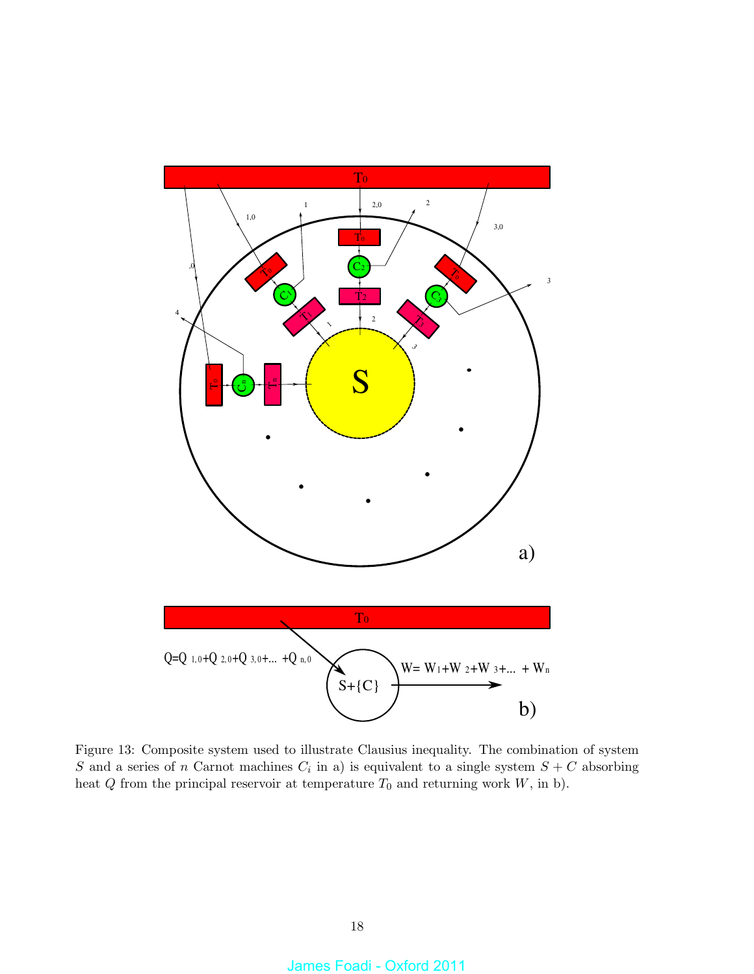

Figure 13: Composite system used to illustrate Clausius inequality. The combination of system S and a series of n Carnot machines  $C_i$  in a) is equivalent to a single system  $S + C$  absorbing heat  $Q$  from the principal reservoir at temperature  $T_0$  and returning work  $W$ , in b).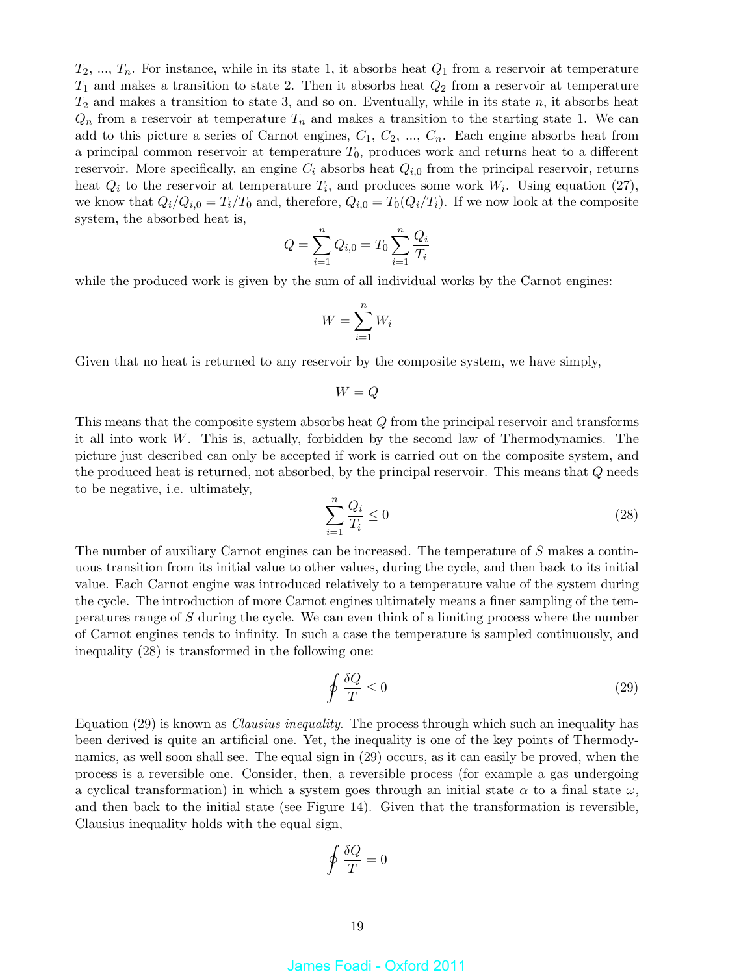$T_2, ..., T_n$ . For instance, while in its state 1, it absorbs heat  $Q_1$  from a reservoir at temperature  $T_1$  and makes a transition to state 2. Then it absorbs heat  $Q_2$  from a reservoir at temperature  $T_2$  and makes a transition to state 3, and so on. Eventually, while in its state n, it absorbs heat  $Q_n$  from a reservoir at temperature  $T_n$  and makes a transition to the starting state 1. We can add to this picture a series of Carnot engines,  $C_1, C_2, ..., C_n$ . Each engine absorbs heat from a principal common reservoir at temperature  $T_0$ , produces work and returns heat to a different reservoir. More specifically, an engine  $C_i$  absorbs heat  $Q_{i,0}$  from the principal reservoir, returns heat  $Q_i$  to the reservoir at temperature  $T_i$ , and produces some work  $W_i$ . Using equation (27), we know that  $Q_i/Q_{i,0} = T_i/T_0$  and, therefore,  $Q_{i,0} = T_0(Q_i/T_i)$ . If we now look at the composite system, the absorbed heat is,

$$
Q = \sum_{i=1}^{n} Q_{i,0} = T_0 \sum_{i=1}^{n} \frac{Q_i}{T_i}
$$

while the produced work is given by the sum of all individual works by the Carnot engines:

$$
W = \sum_{i=1}^{n} W_i
$$

Given that no heat is returned to any reservoir by the composite system, we have simply,

$$
W=Q
$$

This means that the composite system absorbs heat Q from the principal reservoir and transforms it all into work W. This is, actually, forbidden by the second law of Thermodynamics. The picture just described can only be accepted if work is carried out on the composite system, and the produced heat is returned, not absorbed, by the principal reservoir. This means that Q needs to be negative, i.e. ultimately,

$$
\sum_{i=1}^{n} \frac{Q_i}{T_i} \le 0
$$
\n<sup>(28)</sup>

The number of auxiliary Carnot engines can be increased. The temperature of S makes a continuous transition from its initial value to other values, during the cycle, and then back to its initial value. Each Carnot engine was introduced relatively to a temperature value of the system during the cycle. The introduction of more Carnot engines ultimately means a finer sampling of the temperatures range of S during the cycle. We can even think of a limiting process where the number of Carnot engines tends to infinity. In such a case the temperature is sampled continuously, and inequality (28) is transformed in the following one:

$$
\oint \frac{\delta Q}{T} \le 0\tag{29}
$$

Equation (29) is known as *Clausius inequality*. The process through which such an inequality has been derived is quite an artificial one. Yet, the inequality is one of the key points of Thermodynamics, as well soon shall see. The equal sign in (29) occurs, as it can easily be proved, when the process is a reversible one. Consider, then, a reversible process (for example a gas undergoing a cyclical transformation) in which a system goes through an initial state  $\alpha$  to a final state  $\omega$ , and then back to the initial state (see Figure 14). Given that the transformation is reversible, Clausius inequality holds with the equal sign,

$$
\oint \frac{\delta Q}{T} = 0
$$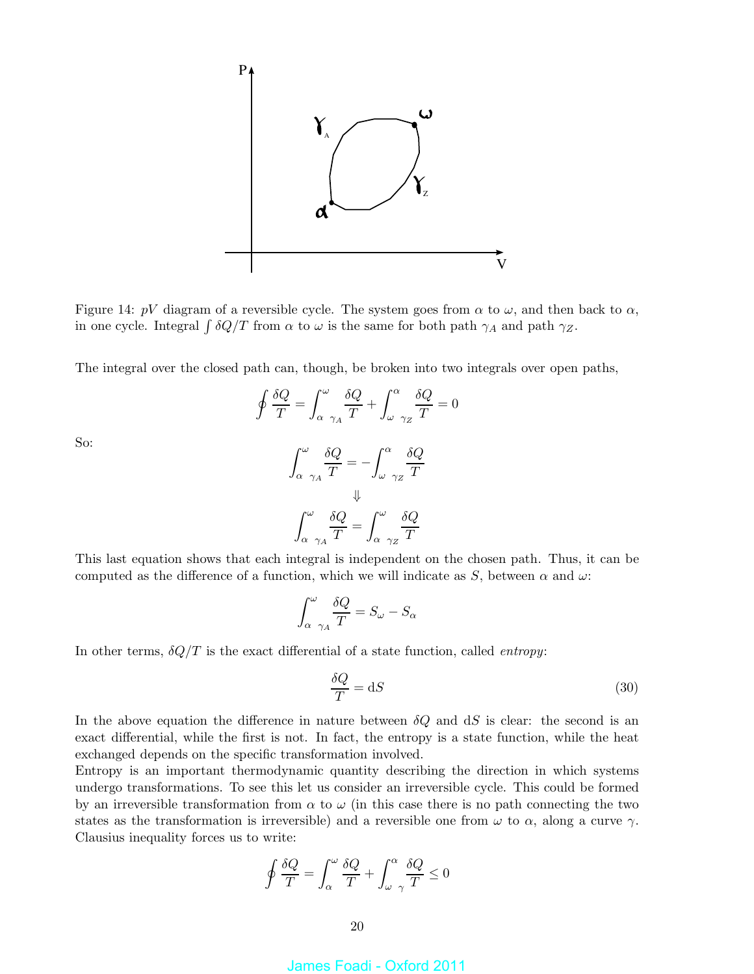

Figure 14: pV diagram of a reversible cycle. The system goes from  $\alpha$  to  $\omega$ , and then back to  $\alpha$ , in one cycle. Integral  $\int \delta Q/T$  from  $\alpha$  to  $\omega$  is the same for both path  $\gamma_A$  and path  $\gamma_Z$ .

The integral over the closed path can, though, be broken into two integrals over open paths,

$$
\oint \frac{\delta Q}{T} = \int_{\alpha}^{\omega} \frac{\delta Q}{\gamma_A} + \int_{\omega}^{\alpha} \frac{\delta Q}{\gamma_Z} = 0
$$

$$
\int_{\alpha}^{\omega} \frac{\delta Q}{\gamma_A T} = -\int_{\omega}^{\alpha} \frac{\delta Q}{\gamma_Z T}
$$

$$
\Downarrow
$$

$$
\int_{\alpha}^{\omega} \frac{\delta Q}{T} = \int_{\alpha}^{\omega} \frac{\delta Q}{\gamma_Z T}
$$

So:

This last equation shows that each integral is independent on the chosen path. Thus, it can be computed as the difference of a function, which we will indicate as 
$$
S
$$
, between  $\alpha$  and  $\omega$ :

$$
\int_{\alpha - \gamma_A}^{\omega} \frac{\delta Q}{T} = S_{\omega} - S_{\alpha}
$$

In other terms,  $\delta Q/T$  is the exact differential of a state function, called *entropy*:

$$
\frac{\delta Q}{T} = \mathrm{d}S\tag{30}
$$

In the above equation the difference in nature between  $\delta Q$  and dS is clear: the second is an exact differential, while the first is not. In fact, the entropy is a state function, while the heat exchanged depends on the specific transformation involved.

Entropy is an important thermodynamic quantity describing the direction in which systems undergo transformations. To see this let us consider an irreversible cycle. This could be formed by an irreversible transformation from  $\alpha$  to  $\omega$  (in this case there is no path connecting the two states as the transformation is irreversible) and a reversible one from  $\omega$  to  $\alpha$ , along a curve  $\gamma$ . Clausius inequality forces us to write:

$$
\oint \frac{\delta Q}{T} = \int_\alpha^\omega \frac{\delta Q}{T} + \int_\omega^\alpha \frac{\delta Q}{\gamma} \le 0
$$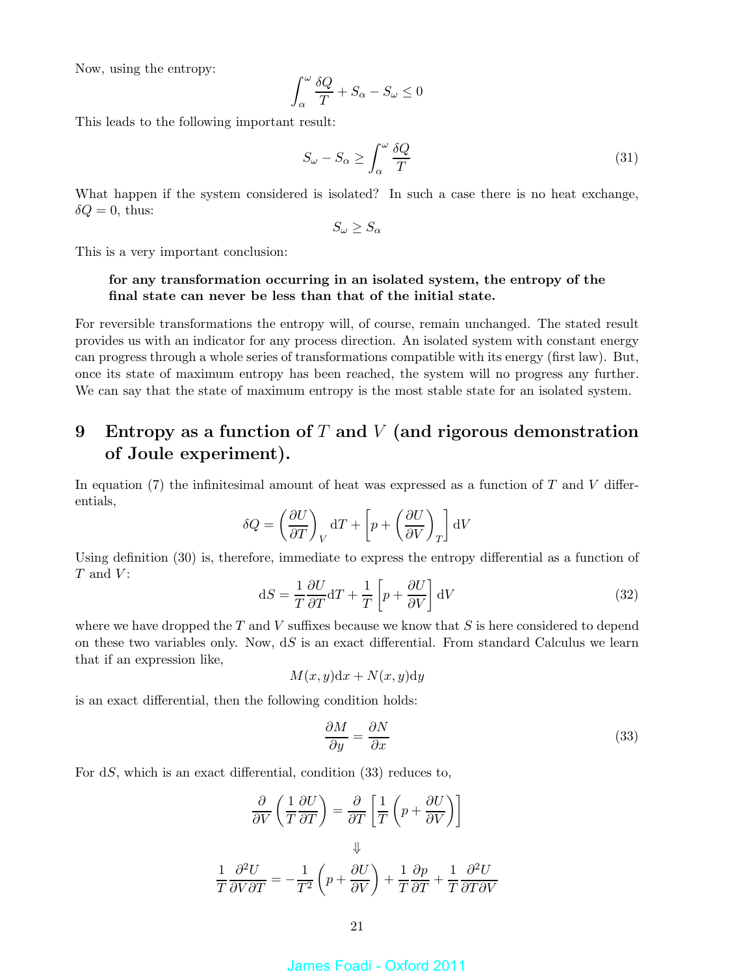Now, using the entropy:

$$
\int_{\alpha}^{\omega} \frac{\delta Q}{T} + S_{\alpha} - S_{\omega} \le 0
$$

This leads to the following important result:

$$
S_{\omega} - S_{\alpha} \ge \int_{\alpha}^{\omega} \frac{\delta Q}{T}
$$
 (31)

What happen if the system considered is isolated? In such a case there is no heat exchange,  $\delta Q = 0$ , thus:

$$
S_{\omega} \ge S_{\alpha}
$$

This is a very important conclusion:

### for any transformation occurring in an isolated system, the entropy of the final state can never be less than that of the initial state.

For reversible transformations the entropy will, of course, remain unchanged. The stated result provides us with an indicator for any process direction. An isolated system with constant energy can progress through a whole series of transformations compatible with its energy (first law). But, once its state of maximum entropy has been reached, the system will no progress any further. We can say that the state of maximum entropy is the most stable state for an isolated system.

# 9 Entropy as a function of T and V (and rigorous demonstration of Joule experiment).

In equation (7) the infinitesimal amount of heat was expressed as a function of  $T$  and  $V$  differentials,

$$
\delta Q = \left(\frac{\partial U}{\partial T}\right)_V dT + \left[p + \left(\frac{\partial U}{\partial V}\right)_T\right] dV
$$

Using definition (30) is, therefore, immediate to express the entropy differential as a function of  $T$  and  $V$ :

$$
dS = \frac{1}{T} \frac{\partial U}{\partial T} dT + \frac{1}{T} \left[ p + \frac{\partial U}{\partial V} \right] dV \tag{32}
$$

where we have dropped the  $T$  and  $V$  suffixes because we know that  $S$  is here considered to depend on these two variables only. Now,  $dS$  is an exact differential. From standard Calculus we learn that if an expression like,

$$
M(x, y)dx + N(x, y)dy
$$

is an exact differential, then the following condition holds:

$$
\frac{\partial M}{\partial y} = \frac{\partial N}{\partial x} \tag{33}
$$

For dS, which is an exact differential, condition (33) reduces to,

$$
\frac{\partial}{\partial V} \left( \frac{1}{T} \frac{\partial U}{\partial T} \right) = \frac{\partial}{\partial T} \left[ \frac{1}{T} \left( p + \frac{\partial U}{\partial V} \right) \right]
$$

$$
\Downarrow
$$

$$
\frac{1}{T} \frac{\partial^2 U}{\partial V \partial T} = -\frac{1}{T^2} \left( p + \frac{\partial U}{\partial V} \right) + \frac{1}{T} \frac{\partial p}{\partial T} + \frac{1}{T} \frac{\partial^2 U}{\partial T \partial V}
$$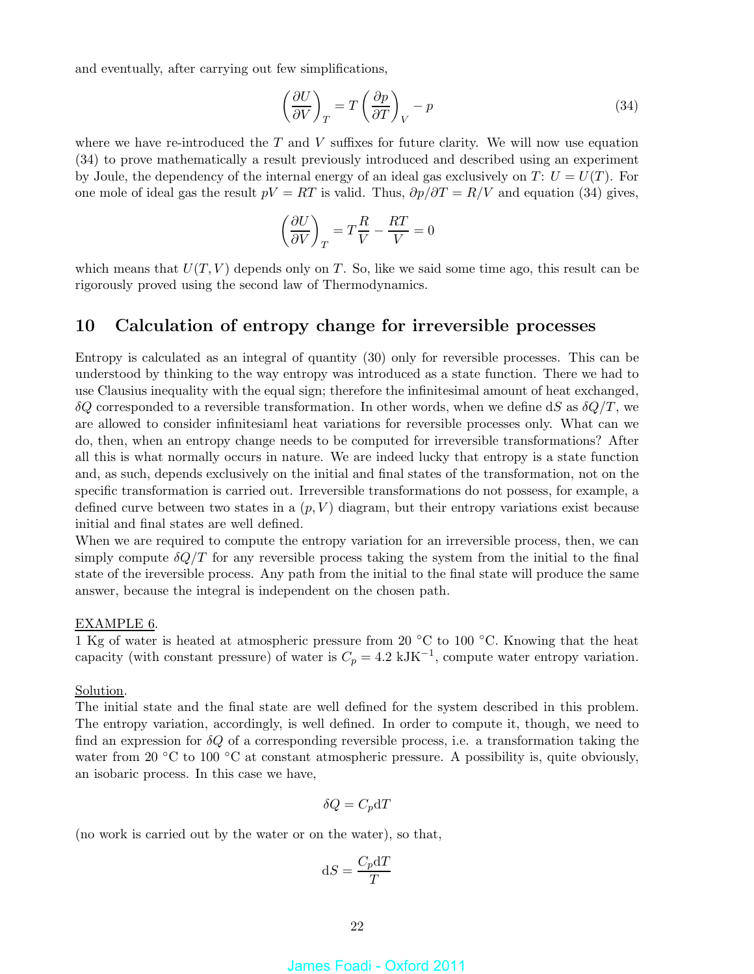and eventually, after carrying out few simplifications,

$$
\left(\frac{\partial U}{\partial V}\right)_T = T \left(\frac{\partial p}{\partial T}\right)_V - p \tag{34}
$$

where we have re-introduced the  $T$  and  $V$  suffixes for future clarity. We will now use equation (34) to prove mathematically a result previously introduced and described using an experiment by Joule, the dependency of the internal energy of an ideal gas exclusively on  $T: U = U(T)$ . For one mole of ideal gas the result  $pV = RT$  is valid. Thus,  $\partial p/\partial T = R/V$  and equation (34) gives,

$$
\left(\frac{\partial U}{\partial V}\right)_T = T\frac{R}{V} - \frac{RT}{V} = 0
$$

which means that  $U(T, V)$  depends only on T. So, like we said some time ago, this result can be rigorously proved using the second law of Thermodynamics.

### 10 Calculation of entropy change for irreversible processes

Entropy is calculated as an integral of quantity (30) only for reversible processes. This can be understood by thinking to the way entropy was introduced as a state function. There we had to use Clausius inequality with the equal sign; therefore the infinitesimal amount of heat exchanged, δQ corresponded to a reversible transformation. In other words, when we define dS as  $δQ/T$ , we are allowed to consider infinitesiaml heat variations for reversible processes only. What can we do, then, when an entropy change needs to be computed for irreversible transformations? After all this is what normally occurs in nature. We are indeed lucky that entropy is a state function and, as such, depends exclusively on the initial and final states of the transformation, not on the specific transformation is carried out. Irreversible transformations do not possess, for example, a defined curve between two states in a  $(p, V)$  diagram, but their entropy variations exist because initial and final states are well defined.

When we are required to compute the entropy variation for an irreversible process, then, we can simply compute  $\delta Q/T$  for any reversible process taking the system from the initial to the final state of the ireversible process. Any path from the initial to the final state will produce the same answer, because the integral is independent on the chosen path.

### EXAMPLE 6.

1 Kg of water is heated at atmospheric pressure from 20 ◦C to 100 ◦C. Knowing that the heat capacity (with constant pressure) of water is  $C_p = 4.2 \text{ kJK}^{-1}$ , compute water entropy variation.

### Solution.

The initial state and the final state are well defined for the system described in this problem. The entropy variation, accordingly, is well defined. In order to compute it, though, we need to find an expression for  $\delta Q$  of a corresponding reversible process, i.e. a transformation taking the water from 20 °C to 100 °C at constant atmospheric pressure. A possibility is, quite obviously, an isobaric process. In this case we have,

$$
\delta Q = C_p \mathrm{d} T
$$

(no work is carried out by the water or on the water), so that,

$$
\mathrm{d}S = \frac{C_p \mathrm{d}T}{T}
$$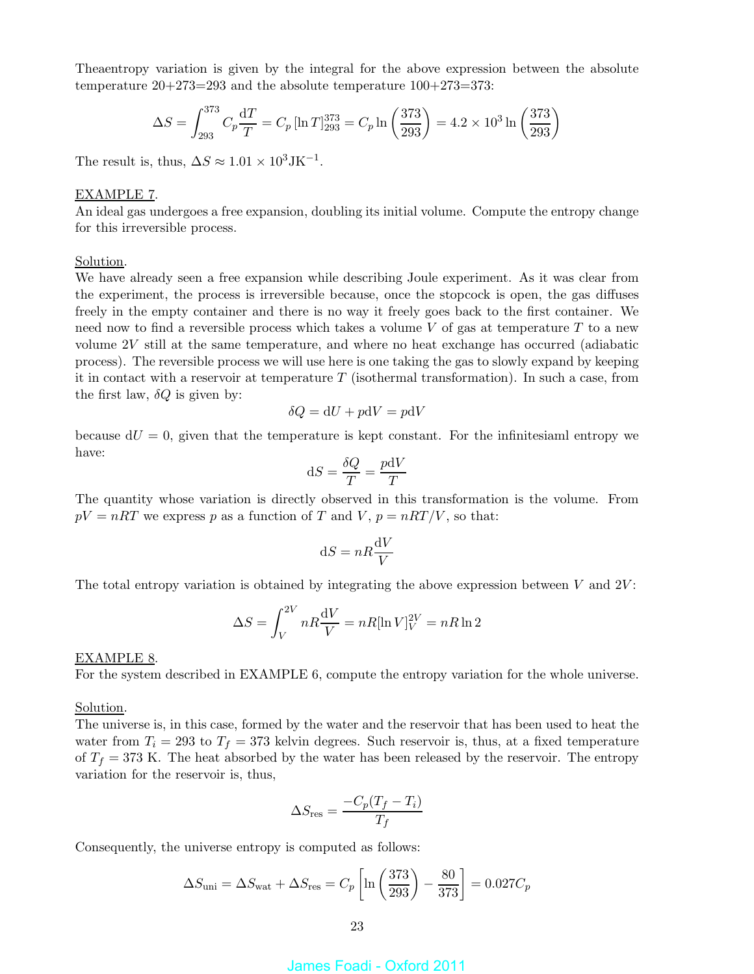Theaentropy variation is given by the integral for the above expression between the absolute temperature 20+273=293 and the absolute temperature 100+273=373:

$$
\Delta S = \int_{293}^{373} C_p \frac{dT}{T} = C_p \left[ \ln T \right]_{293}^{373} = C_p \ln \left( \frac{373}{293} \right) = 4.2 \times 10^3 \ln \left( \frac{373}{293} \right)
$$

The result is, thus,  $\Delta S \approx 1.01 \times 10^3 \text{JK}^{-1}$ .

### EXAMPLE 7.

An ideal gas undergoes a free expansion, doubling its initial volume. Compute the entropy change for this irreversible process.

### Solution.

We have already seen a free expansion while describing Joule experiment. As it was clear from the experiment, the process is irreversible because, once the stopcock is open, the gas diffuses freely in the empty container and there is no way it freely goes back to the first container. We need now to find a reversible process which takes a volume  $V$  of gas at temperature  $T$  to a new volume 2V still at the same temperature, and where no heat exchange has occurred (adiabatic process). The reversible process we will use here is one taking the gas to slowly expand by keeping it in contact with a reservoir at temperature  $T$  (isothermal transformation). In such a case, from the first law,  $\delta Q$  is given by:

$$
\delta Q = dU + p dV = p dV
$$

because  $dU = 0$ , given that the temperature is kept constant. For the infinitesiaml entropy we have:

$$
dS = \frac{\delta Q}{T} = \frac{p dV}{T}
$$

The quantity whose variation is directly observed in this transformation is the volume. From  $pV = nRT$  we express p as a function of T and V,  $p = nRT/V$ , so that:

$$
\mathrm{d}S = nR\frac{\mathrm{d}V}{V}
$$

The total entropy variation is obtained by integrating the above expression between  $V$  and  $2V$ :

$$
\Delta S = \int_{V}^{2V} nR \frac{\mathrm{d}V}{V} = nR[\ln V]_{V}^{2V} = nR\ln 2
$$

### EXAMPLE 8.

For the system described in EXAMPLE 6, compute the entropy variation for the whole universe.

### Solution.

The universe is, in this case, formed by the water and the reservoir that has been used to heat the water from  $T_i = 293$  to  $T_f = 373$  kelvin degrees. Such reservoir is, thus, at a fixed temperature of  $T_f = 373$  K. The heat absorbed by the water has been released by the reservoir. The entropy variation for the reservoir is, thus,

$$
\Delta S_{\rm res} = \frac{-C_p(T_f - T_i)}{T_f}
$$

Consequently, the universe entropy is computed as follows:

$$
\Delta S_{\text{uni}} = \Delta S_{\text{wat}} + \Delta S_{\text{res}} = C_p \left[ \ln \left( \frac{373}{293} \right) - \frac{80}{373} \right] = 0.027 C_p
$$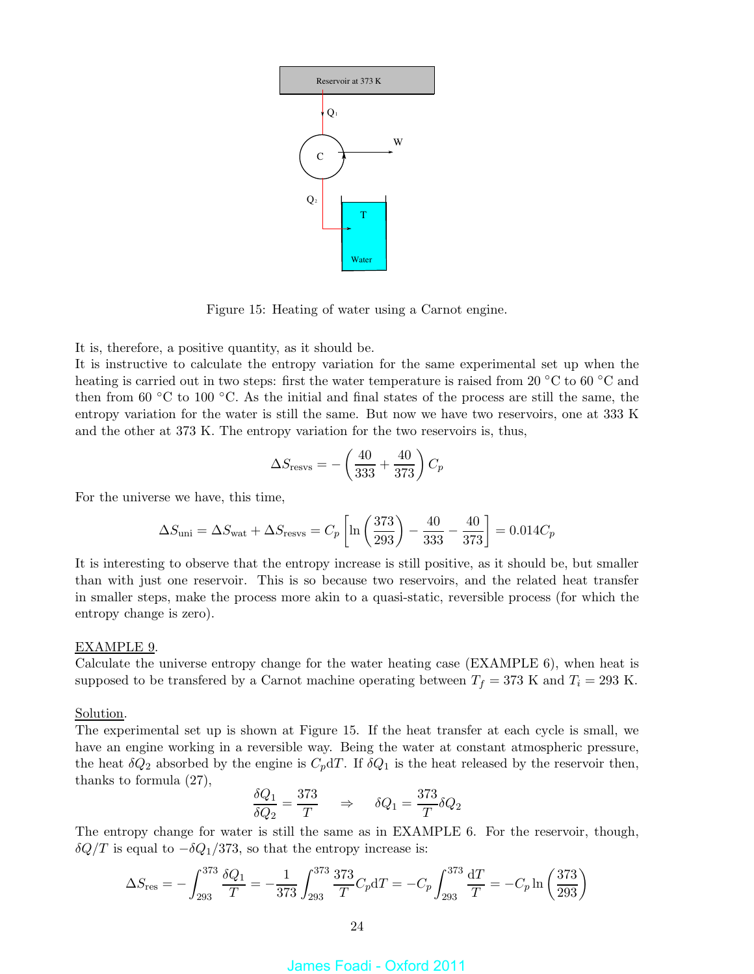

Figure 15: Heating of water using a Carnot engine.

It is, therefore, a positive quantity, as it should be.

It is instructive to calculate the entropy variation for the same experimental set up when the heating is carried out in two steps: first the water temperature is raised from 20 °C to 60 °C and then from 60  $\degree$ C to 100  $\degree$ C. As the initial and final states of the process are still the same, the entropy variation for the water is still the same. But now we have two reservoirs, one at 333 K and the other at 373 K. The entropy variation for the two reservoirs is, thus,

$$
\Delta S_{\rm resvs} = -\left(\frac{40}{333} + \frac{40}{373}\right)C_p
$$

For the universe we have, this time,

$$
\Delta S_{\text{uni}} = \Delta S_{\text{wat}} + \Delta S_{\text{resvs}} = C_p \left[ \ln \left( \frac{373}{293} \right) - \frac{40}{333} - \frac{40}{373} \right] = 0.014 C_p
$$

It is interesting to observe that the entropy increase is still positive, as it should be, but smaller than with just one reservoir. This is so because two reservoirs, and the related heat transfer in smaller steps, make the process more akin to a quasi-static, reversible process (for which the entropy change is zero).

#### EXAMPLE 9.

Calculate the universe entropy change for the water heating case (EXAMPLE 6), when heat is supposed to be transfered by a Carnot machine operating between  $T_f = 373$  K and  $T_i = 293$  K.

### Solution.

The experimental set up is shown at Figure 15. If the heat transfer at each cycle is small, we have an engine working in a reversible way. Being the water at constant atmospheric pressure, the heat  $\delta Q_2$  absorbed by the engine is  $C_p dT$ . If  $\delta Q_1$  is the heat released by the reservoir then, thanks to formula (27),

$$
\frac{\delta Q_1}{\delta Q_2} = \frac{373}{T} \quad \Rightarrow \quad \delta Q_1 = \frac{373}{T} \delta Q_2
$$

The entropy change for water is still the same as in EXAMPLE 6. For the reservoir, though,  $\delta Q/T$  is equal to  $-\delta Q_1/373$ , so that the entropy increase is:

$$
\Delta S_{\rm res} = -\int_{293}^{373} \frac{\delta Q_1}{T} = -\frac{1}{373} \int_{293}^{373} \frac{373}{T} C_p dT = -C_p \int_{293}^{373} \frac{dT}{T} = -C_p \ln \left( \frac{373}{293} \right)
$$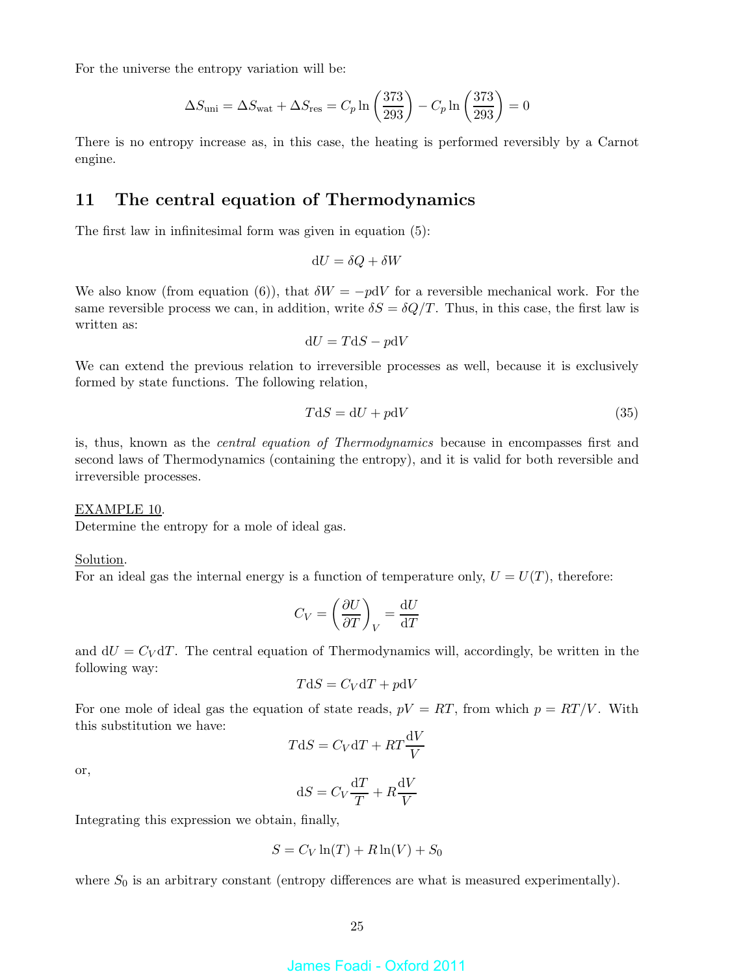For the universe the entropy variation will be:

$$
\Delta S_{\text{uni}} = \Delta S_{\text{wat}} + \Delta S_{\text{res}} = C_p \ln \left( \frac{373}{293} \right) - C_p \ln \left( \frac{373}{293} \right) = 0
$$

There is no entropy increase as, in this case, the heating is performed reversibly by a Carnot engine.

# 11 The central equation of Thermodynamics

The first law in infinitesimal form was given in equation (5):

$$
dU = \delta Q + \delta W
$$

We also know (from equation (6)), that  $\delta W = -p dV$  for a reversible mechanical work. For the same reversible process we can, in addition, write  $\delta S = \delta Q/T$ . Thus, in this case, the first law is written as:

$$
dU = TdS - p dV
$$

We can extend the previous relation to irreversible processes as well, because it is exclusively formed by state functions. The following relation,

$$
TdS = dU + p dV \tag{35}
$$

is, thus, known as the central equation of Thermodynamics because in encompasses first and second laws of Thermodynamics (containing the entropy), and it is valid for both reversible and irreversible processes.

### EXAMPLE 10.

Determine the entropy for a mole of ideal gas.

#### Solution.

For an ideal gas the internal energy is a function of temperature only,  $U = U(T)$ , therefore:

$$
C_V = \left(\frac{\partial U}{\partial T}\right)_V = \frac{\mathrm{d}U}{\mathrm{d}T}
$$

and  $dU = C_V dT$ . The central equation of Thermodynamics will, accordingly, be written in the following way:

$$
T\mathrm{d}S = C_V\mathrm{d}T + p\mathrm{d}V
$$

For one mole of ideal gas the equation of state reads,  $pV = RT$ , from which  $p = RT/V$ . With this substitution we have:

$$
T\mathrm{d}S = C_V\mathrm{d}T + RT\frac{\mathrm{d}V}{V}
$$

or,

$$
dS = C_V \frac{dT}{T} + R \frac{dV}{V}
$$

Integrating this expression we obtain, finally,

$$
S = C_V \ln(T) + R \ln(V) + S_0
$$

where  $S_0$  is an arbitrary constant (entropy differences are what is measured experimentally).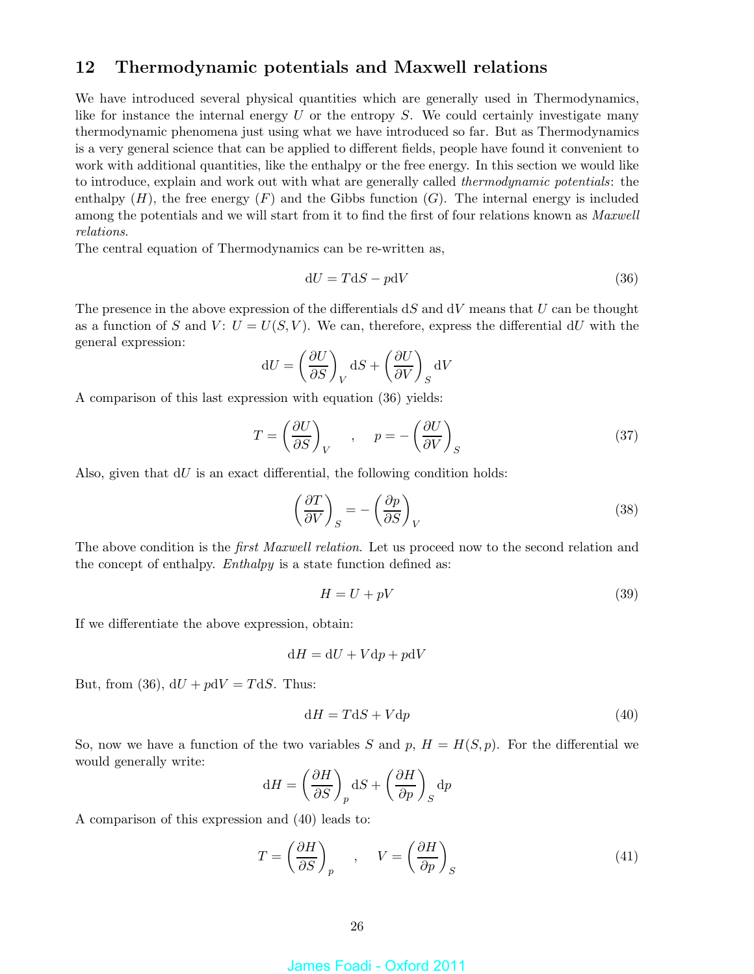# 12 Thermodynamic potentials and Maxwell relations

We have introduced several physical quantities which are generally used in Thermodynamics, like for instance the internal energy  $U$  or the entropy  $S$ . We could certainly investigate many thermodynamic phenomena just using what we have introduced so far. But as Thermodynamics is a very general science that can be applied to different fields, people have found it convenient to work with additional quantities, like the enthalpy or the free energy. In this section we would like to introduce, explain and work out with what are generally called thermodynamic potentials: the enthalpy  $(H)$ , the free energy  $(F)$  and the Gibbs function  $(G)$ . The internal energy is included among the potentials and we will start from it to find the first of four relations known as *Maxwell* relations.

The central equation of Thermodynamics can be re-written as,

$$
dU = TdS - pdV \tag{36}
$$

The presence in the above expression of the differentials  $dS$  and  $dV$  means that U can be thought as a function of S and V:  $U = U(S, V)$ . We can, therefore, express the differential dU with the general expression:

$$
dU = \left(\frac{\partial U}{\partial S}\right)_V dS + \left(\frac{\partial U}{\partial V}\right)_S dV
$$

A comparison of this last expression with equation (36) yields:

$$
T = \left(\frac{\partial U}{\partial S}\right)_V , \quad p = -\left(\frac{\partial U}{\partial V}\right)_S
$$
 (37)

Also, given that  $dU$  is an exact differential, the following condition holds:

$$
\left(\frac{\partial T}{\partial V}\right)_S = -\left(\frac{\partial p}{\partial S}\right)_V\tag{38}
$$

The above condition is the *first Maxwell relation*. Let us proceed now to the second relation and the concept of enthalpy. *Enthalpy* is a state function defined as:

$$
H = U + pV \tag{39}
$$

If we differentiate the above expression, obtain:

$$
dH = dU + Vdp + pdV
$$

But, from (36),  $dU + pdV = TdS$ . Thus:

$$
dH = TdS + Vdp \tag{40}
$$

So, now we have a function of the two variables S and p,  $H = H(S, p)$ . For the differential we would generally write:

$$
dH = \left(\frac{\partial H}{\partial S}\right)_p dS + \left(\frac{\partial H}{\partial p}\right)_S dp
$$

A comparison of this expression and (40) leads to:

$$
T = \left(\frac{\partial H}{\partial S}\right)_p , \quad V = \left(\frac{\partial H}{\partial p}\right)_S
$$
 (41)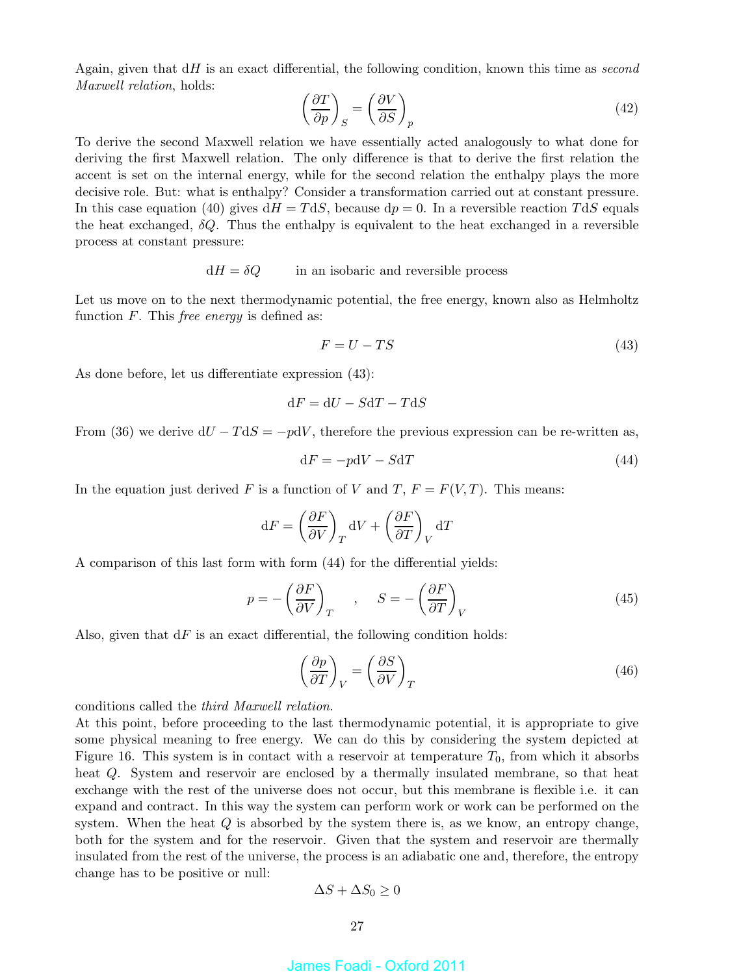Again, given that  $dH$  is an exact differential, the following condition, known this time as second Maxwell relation, holds:

$$
\left(\frac{\partial T}{\partial p}\right)_S = \left(\frac{\partial V}{\partial S}\right)_p\tag{42}
$$

To derive the second Maxwell relation we have essentially acted analogously to what done for deriving the first Maxwell relation. The only difference is that to derive the first relation the accent is set on the internal energy, while for the second relation the enthalpy plays the more decisive role. But: what is enthalpy? Consider a transformation carried out at constant pressure. In this case equation (40) gives  $dH = TdS$ , because  $dp = 0$ . In a reversible reaction  $TdS$  equals the heat exchanged,  $\delta Q$ . Thus the enthalpy is equivalent to the heat exchanged in a reversible process at constant pressure:

 $dH = \delta Q$  in an isobaric and reversible process

Let us move on to the next thermodynamic potential, the free energy, known also as Helmholtz function  $F$ . This *free energy* is defined as:

$$
F = U - TS \tag{43}
$$

As done before, let us differentiate expression (43):

$$
\mathrm{d} F=\mathrm{d} U-S\mathrm{d} T-T\mathrm{d} S
$$

From (36) we derive  $dU - TdS = -p dV$ , therefore the previous expression can be re-written as,

$$
dF = -p dV - S dT \tag{44}
$$

In the equation just derived F is a function of V and T,  $F = F(V,T)$ . This means:

$$
dF = \left(\frac{\partial F}{\partial V}\right)_T dV + \left(\frac{\partial F}{\partial T}\right)_V dT
$$

A comparison of this last form with form (44) for the differential yields:

$$
p = -\left(\frac{\partial F}{\partial V}\right)_T, \quad S = -\left(\frac{\partial F}{\partial T}\right)_V
$$
\n(45)

Also, given that  $dF$  is an exact differential, the following condition holds:

$$
\left(\frac{\partial p}{\partial T}\right)_V = \left(\frac{\partial S}{\partial V}\right)_T\tag{46}
$$

conditions called the third Maxwell relation.

At this point, before proceeding to the last thermodynamic potential, it is appropriate to give some physical meaning to free energy. We can do this by considering the system depicted at Figure 16. This system is in contact with a reservoir at temperature  $T_0$ , from which it absorbs heat Q. System and reservoir are enclosed by a thermally insulated membrane, so that heat exchange with the rest of the universe does not occur, but this membrane is flexible i.e. it can expand and contract. In this way the system can perform work or work can be performed on the system. When the heat  $Q$  is absorbed by the system there is, as we know, an entropy change, both for the system and for the reservoir. Given that the system and reservoir are thermally insulated from the rest of the universe, the process is an adiabatic one and, therefore, the entropy change has to be positive or null:

$$
\Delta S + \Delta S_0 \ge 0
$$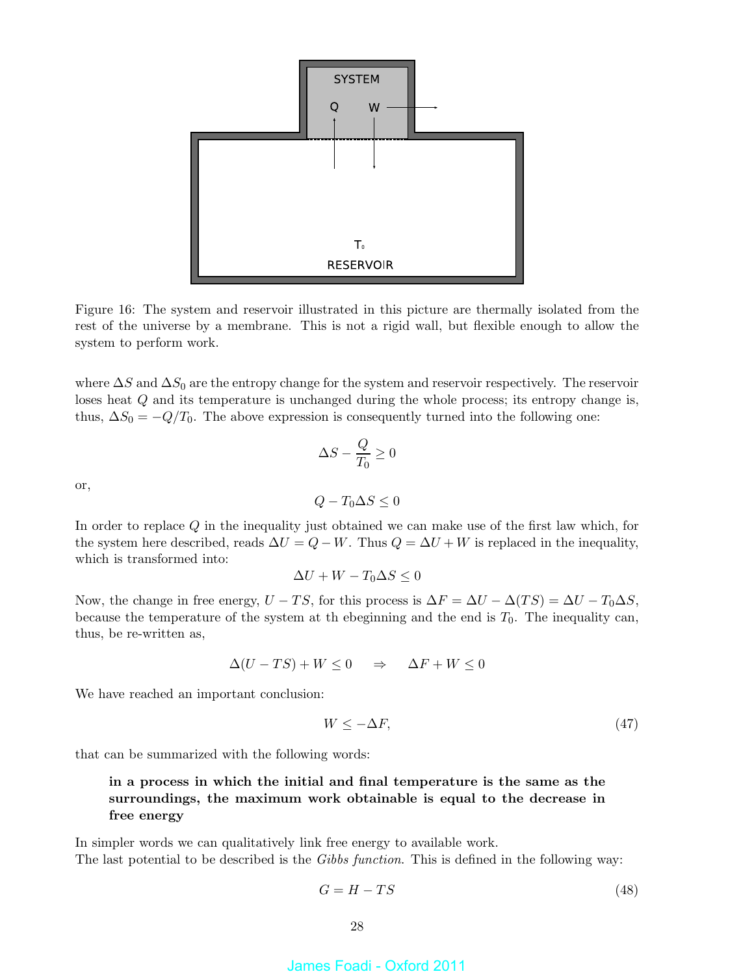

Figure 16: The system and reservoir illustrated in this picture are thermally isolated from the rest of the universe by a membrane. This is not a rigid wall, but flexible enough to allow the system to perform work.

where  $\Delta S$  and  $\Delta S_0$  are the entropy change for the system and reservoir respectively. The reservoir loses heat Q and its temperature is unchanged during the whole process; its entropy change is, thus,  $\Delta S_0 = -Q/T_0$ . The above expression is consequently turned into the following one:

$$
\Delta S - \frac{Q}{T_0} \ge 0
$$

or,

$$
Q - T_0 \Delta S \le 0
$$

In order to replace Q in the inequality just obtained we can make use of the first law which, for the system here described, reads  $\Delta U = Q - W$ . Thus  $Q = \Delta U + W$  is replaced in the inequality, which is transformed into:

$$
\Delta U + W - T_0 \Delta S \le 0
$$

Now, the change in free energy,  $U - TS$ , for this process is  $\Delta F = \Delta U - \Delta (TS) = \Delta U - T_0 \Delta S$ , because the temperature of the system at the beginning and the end is  $T_0$ . The inequality can, thus, be re-written as,

$$
\Delta(U - TS) + W \le 0 \quad \Rightarrow \quad \Delta F + W \le 0
$$

We have reached an important conclusion:

$$
W \le -\Delta F,\tag{47}
$$

that can be summarized with the following words:

### in a process in which the initial and final temperature is the same as the surroundings, the maximum work obtainable is equal to the decrease in free energy

In simpler words we can qualitatively link free energy to available work. The last potential to be described is the *Gibbs function*. This is defined in the following way:

$$
G = H - TS \tag{48}
$$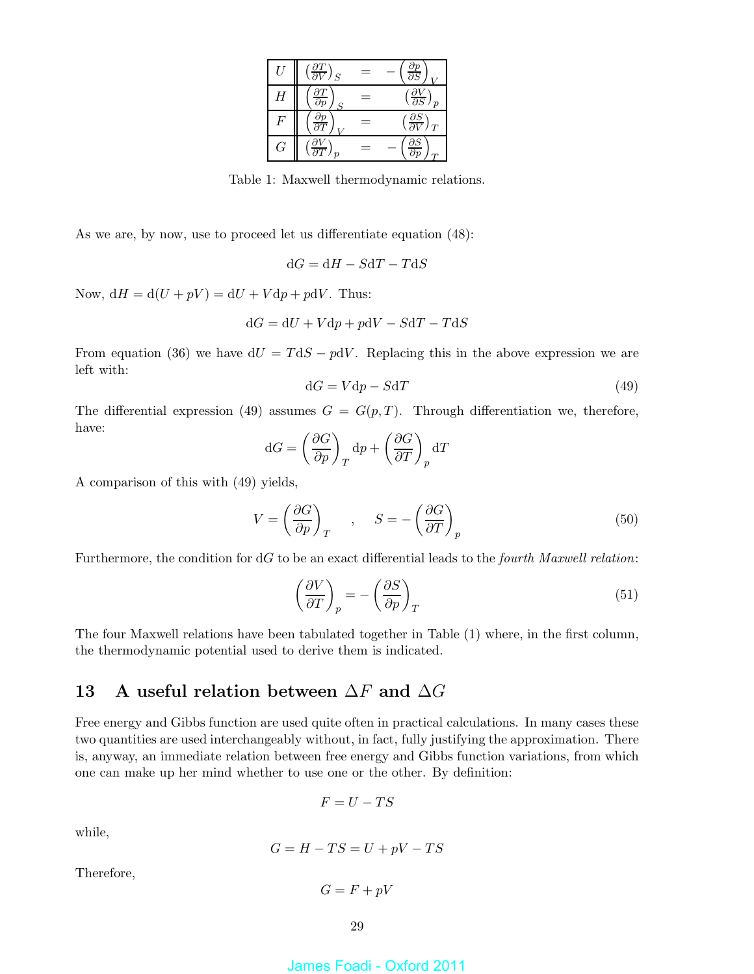| U | $\frac{\partial T}{\partial V}$<br>S                | $\frac{\partial p}{\partial S}$       |
|---|-----------------------------------------------------|---------------------------------------|
| Η | $\frac{\partial T}{\partial p}$<br>$\boldsymbol{S}$ | $\frac{\partial V}{\partial S}$       |
| F | $\frac{\partial p}{\partial T}$                     | $\frac{\partial S}{\partial V}$<br>JΤ |
| G | $\partial T$<br>$\boldsymbol{p}$                    | $\frac{\partial S}{\partial n}$       |

Table 1: Maxwell thermodynamic relations.

As we are, by now, use to proceed let us differentiate equation (48):

$$
dG = dH - SdT - TdS
$$

Now,  $dH = d(U + pV) = dU + V dp + p dV$ . Thus:

$$
\mathrm{d} G=\mathrm{d} U+V\mathrm{d} p+p\mathrm{d} V-S\mathrm{d} T-T\mathrm{d} S
$$

From equation (36) we have  $dU = TdS - pdV$ . Replacing this in the above expression we are left with:

$$
dG = Vdp - SdT \tag{49}
$$

The differential expression (49) assumes  $G = G(p, T)$ . Through differentiation we, therefore, have:

$$
dG = \left(\frac{\partial G}{\partial p}\right)_T dp + \left(\frac{\partial G}{\partial T}\right)_p dT
$$

A comparison of this with (49) yields,

$$
V = \left(\frac{\partial G}{\partial p}\right)_T , S = -\left(\frac{\partial G}{\partial T}\right)_p
$$
 (50)

Furthermore, the condition for dG to be an exact differential leads to the *fourth Maxwell relation*:

$$
\left(\frac{\partial V}{\partial T}\right)_p = -\left(\frac{\partial S}{\partial p}\right)_T\tag{51}
$$

The four Maxwell relations have been tabulated together in Table (1) where, in the first column, the thermodynamic potential used to derive them is indicated.

# 13 A useful relation between  $\Delta F$  and  $\Delta G$

Free energy and Gibbs function are used quite often in practical calculations. In many cases these two quantities are used interchangeably without, in fact, fully justifying the approximation. There is, anyway, an immediate relation between free energy and Gibbs function variations, from which one can make up her mind whether to use one or the other. By definition:

$$
F=U-TS
$$

while,

$$
G = H - TS = U + pV - TS
$$

Therefore,

$$
G = F + pV
$$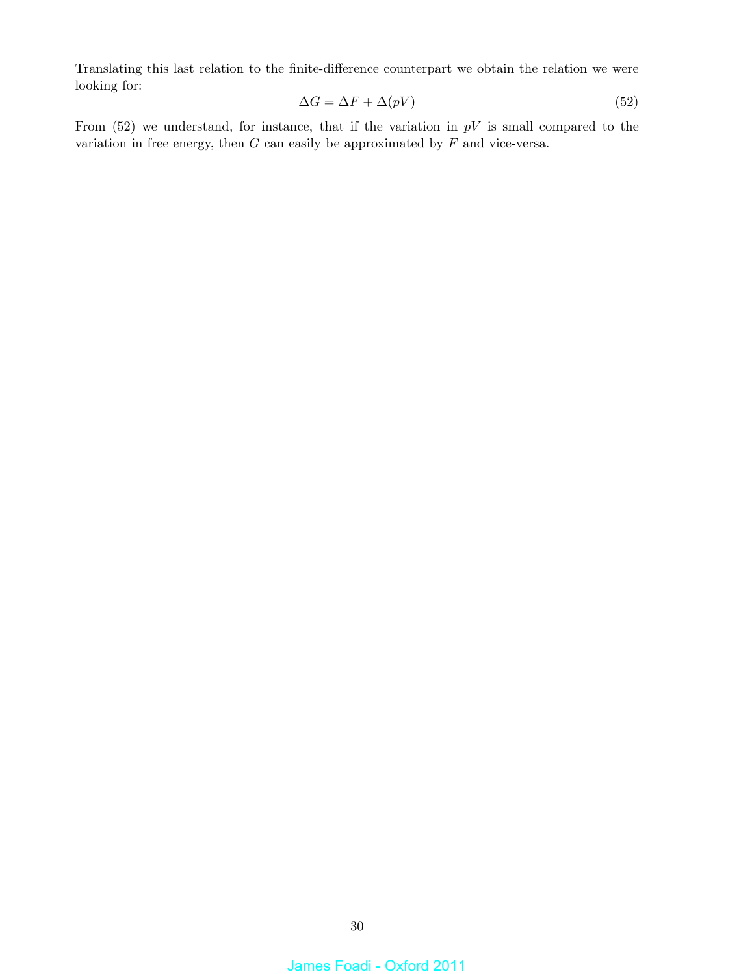Translating this last relation to the finite-difference counterpart we obtain the relation we were looking for:

$$
\Delta G = \Delta F + \Delta (pV) \tag{52}
$$

From  $(52)$  we understand, for instance, that if the variation in  $pV$  is small compared to the variation in free energy, then  $G$  can easily be approximated by  $F$  and vice-versa.